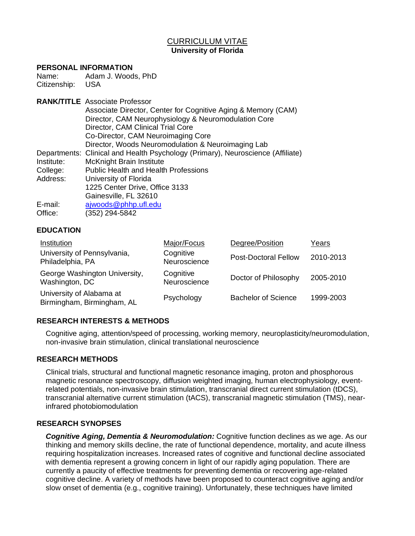# CURRICULUM VITAE **University of Florida**

#### **PERSONAL INFORMATION**

Name: Adam J. Woods, PhD Citizenship: USA

|            | <b>RANK/TITLE</b> Associate Professor                                           |
|------------|---------------------------------------------------------------------------------|
|            | Associate Director, Center for Cognitive Aging & Memory (CAM)                   |
|            | Director, CAM Neurophysiology & Neuromodulation Core                            |
|            | Director, CAM Clinical Trial Core                                               |
|            | Co-Director, CAM Neuroimaging Core                                              |
|            | Director, Woods Neuromodulation & Neuroimaging Lab                              |
|            | Departments: Clinical and Health Psychology (Primary), Neuroscience (Affiliate) |
| Institute: | <b>McKnight Brain Institute</b>                                                 |
| College:   | <b>Public Health and Health Professions</b>                                     |
| Address:   | University of Florida                                                           |
|            | 1225 Center Drive, Office 3133                                                  |
|            | Gainesville, FL 32610                                                           |
| E-mail:    | ajwoods@phhp.ufl.edu                                                            |
| Office:    | (352) 294-5842                                                                  |

#### **EDUCATION**

| Institution                                            | Major/Focus               | Degree/Position             | Years     |
|--------------------------------------------------------|---------------------------|-----------------------------|-----------|
| University of Pennsylvania,<br>Philadelphia, PA        | Cognitive<br>Neuroscience | <b>Post-Doctoral Fellow</b> | 2010-2013 |
| George Washington University,<br>Washington, DC        | Cognitive<br>Neuroscience | Doctor of Philosophy        | 2005-2010 |
| University of Alabama at<br>Birmingham, Birmingham, AL | Psychology                | <b>Bachelor of Science</b>  | 1999-2003 |

# **RESEARCH INTERESTS & METHODS**

Cognitive aging, attention/speed of processing, working memory, neuroplasticity/neuromodulation, non-invasive brain stimulation, clinical translational neuroscience

#### **RESEARCH METHODS**

Clinical trials, structural and functional magnetic resonance imaging, proton and phosphorous magnetic resonance spectroscopy, diffusion weighted imaging, human electrophysiology, eventrelated potentials, non-invasive brain stimulation, transcranial direct current stimulation (tDCS), transcranial alternative current stimulation (tACS), transcranial magnetic stimulation (TMS), nearinfrared photobiomodulation

#### **RESEARCH SYNOPSES**

*Cognitive Aging, Dementia & Neuromodulation:* Cognitive function declines as we age. As our thinking and memory skills decline, the rate of functional dependence, mortality, and acute illness requiring hospitalization increases. Increased rates of cognitive and functional decline associated with dementia represent a growing concern in light of our rapidly aging population. There are currently a paucity of effective treatments for preventing dementia or recovering age-related cognitive decline. A variety of methods have been proposed to counteract cognitive aging and/or slow onset of dementia (e.g., cognitive training). Unfortunately, these techniques have limited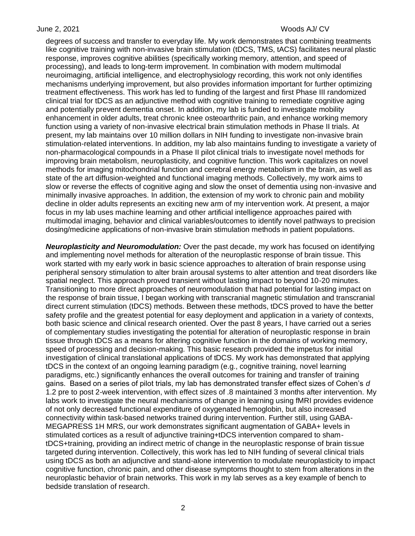degrees of success and transfer to everyday life. My work demonstrates that combining treatments like cognitive training with non-invasive brain stimulation (tDCS, TMS, tACS) facilitates neural plastic response, improves cognitive abilities (specifically working memory, attention, and speed of processing), and leads to long-term improvement. In combination with modern multimodal neuroimaging, artificial intelligence, and electrophysiology recording, this work not only identifies mechanisms underlying improvement, but also provides information important for further optimizing treatment effectiveness. This work has led to funding of the largest and first Phase III randomized clinical trial for tDCS as an adjunctive method with cognitive training to remediate cognitive aging and potentially prevent dementia onset. In addition, my lab is funded to investigate mobility enhancement in older adults, treat chronic knee osteoarthritic pain, and enhance working memory function using a variety of non-invasive electrical brain stimulation methods in Phase II trials. At present, my lab maintains over 10 million dollars in NIH funding to investigate non-invasive brain stimulation-related interventions. In addition, my lab also maintains funding to investigate a variety of non-pharmacological compounds in a Phase II pilot clinical trials to investigate novel methods for improving brain metabolism, neuroplasticity, and cognitive function. This work capitalizes on novel methods for imaging mitochondrial function and cerebral energy metabolism in the brain, as well as state of the art diffusion-weighted and functional imaging methods. Collectively, my work aims to slow or reverse the effects of cognitive aging and slow the onset of dementia using non-invasive and minimally invasive approaches. In addition, the extension of my work to chronic pain and mobility decline in older adults represents an exciting new arm of my intervention work. At present, a major focus in my lab uses machine learning and other artificial intelligence approaches paired with multimodal imaging, behavior and clinical variables/outcomes to identify novel pathways to precision dosing/medicine applications of non-invasive brain stimulation methods in patient populations.

*Neuroplasticity and Neuromodulation:* Over the past decade, my work has focused on identifying and implementing novel methods for alteration of the neuroplastic response of brain tissue. This work started with my early work in basic science approaches to alteration of brain response using peripheral sensory stimulation to alter brain arousal systems to alter attention and treat disorders like spatial neglect. This approach proved transient without lasting impact to beyond 10-20 minutes. Transitioning to more direct approaches of neuromodulation that had potential for lasting impact on the response of brain tissue, I began working with transcranial magnetic stimulation and transcranial direct current stimulation (tDCS) methods. Between these methods, tDCS proved to have the better safety profile and the greatest potential for easy deployment and application in a variety of contexts, both basic science and clinical research oriented. Over the past 8 years, I have carried out a series of complementary studies investigating the potential for alteration of neuroplastic response in brain tissue through tDCS as a means for altering cognitive function in the domains of working memory, speed of processing and decision-making. This basic research provided the impetus for initial investigation of clinical translational applications of tDCS. My work has demonstrated that applying tDCS in the context of an ongoing learning paradigm (e.g., cognitive training, novel learning paradigms, etc.) significantly enhances the overall outcomes for training and transfer of training gains. Based on a series of pilot trials, my lab has demonstrated transfer effect sizes of Cohen's *d* 1.2 pre to post 2-week intervention, with effect sizes of .8 maintained 3 months after intervention. My labs work to investigate the neural mechanisms of change in learning using fMRI provides evidence of not only decreased functional expenditure of oxygenated hemoglobin, but also increased connectivity within task-based networks trained during intervention. Further still, using GABA-MEGAPRESS 1H MRS, our work demonstrates significant augmentation of GABA+ levels in stimulated cortices as a result of adjunctive training+tDCS intervention compared to shamtDCS+training, providing an indirect metric of change in the neuroplastic response of brain tissue targeted during intervention. Collectively, this work has led to NIH funding of several clinical trials using tDCS as both an adjunctive and stand-alone intervention to modulate neuroplasticity to impact cognitive function, chronic pain, and other disease symptoms thought to stem from alterations in the neuroplastic behavior of brain networks. This work in my lab serves as a key example of bench to bedside translation of research.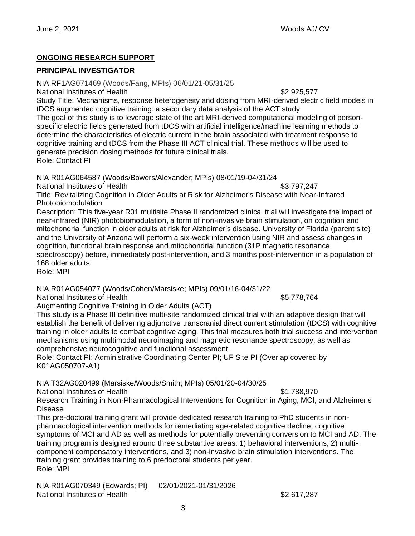# **ONGOING RESEARCH SUPPORT**

# **PRINCIPAL INVESTIGATOR**

NIA RF1AG071469 (Woods/Fang, MPIs) 06/01/21-05/31/25

National Institutes of Health  $$2,925,577$ 

Study Title: Mechanisms, response heterogeneity and dosing from MRI-derived electric field models in tDCS augmented cognitive training: a secondary data analysis of the ACT study

The goal of this study is to leverage state of the art MRI-derived computational modeling of personspecific electric fields generated from tDCS with artificial intelligence/machine learning methods to determine the characteristics of electric current in the brain associated with treatment response to cognitive training and tDCS from the Phase III ACT clinical trial. These methods will be used to generate precision dosing methods for future clinical trials. Role: Contact PI

NIA R01AG064587 (Woods/Bowers/Alexander; MPIs) 08/01/19-04/31/24

National Institutes of Health  $$3,797,247$ 

Title: Revitalizing Cognition in Older Adults at Risk for Alzheimer's Disease with Near-Infrared Photobiomodulation

Description: This five-year R01 multisite Phase II randomized clinical trial will investigate the impact of near-infrared (NIR) photobiomodulation, a form of non-invasive brain stimulation, on cognition and mitochondrial function in older adults at risk for Alzheimer's disease. University of Florida (parent site) and the University of Arizona will perform a six-week intervention using NIR and assess changes in cognition, functional brain response and mitochondrial function (31P magnetic resonance spectroscopy) before, immediately post-intervention, and 3 months post-intervention in a population of 168 older adults.

Role: MPI

NIA R01AG054077 (Woods/Cohen/Marsiske; MPIs) 09/01/16-04/31/22

National Institutes of Health  $$5,778,764$ 

Augmenting Cognitive Training in Older Adults (ACT)

This study is a Phase III definitive multi-site randomized clinical trial with an adaptive design that will establish the benefit of delivering adjunctive transcranial direct current stimulation (tDCS) with cognitive training in older adults to combat cognitive aging. This trial measures both trial success and intervention mechanisms using multimodal neuroimaging and magnetic resonance spectroscopy, as well as comprehensive neurocognitive and functional assessment.

Role: Contact PI; Administrative Coordinating Center PI; UF Site PI (Overlap covered by K01AG050707-A1)

NIA T32AG020499 (Marsiske/Woods/Smith; MPIs) 05/01/20-04/30/25

National Institutes of Health  $$1,788,970$ 

Research Training in Non-Pharmacological Interventions for Cognition in Aging, MCI, and Alzheimer's Disease

This pre-doctoral training grant will provide dedicated research training to PhD students in nonpharmacological intervention methods for remediating age-related cognitive decline, cognitive symptoms of MCI and AD as well as methods for potentially preventing conversion to MCI and AD. The training program is designed around three substantive areas: 1) behavioral interventions, 2) multicomponent compensatory interventions, and 3) non-invasive brain stimulation interventions. The training grant provides training to 6 predoctoral students per year. Role: MPI

NIA R01AG070349 (Edwards; PI) 02/01/2021-01/31/2026 National Institutes of Health  $$2.617,287$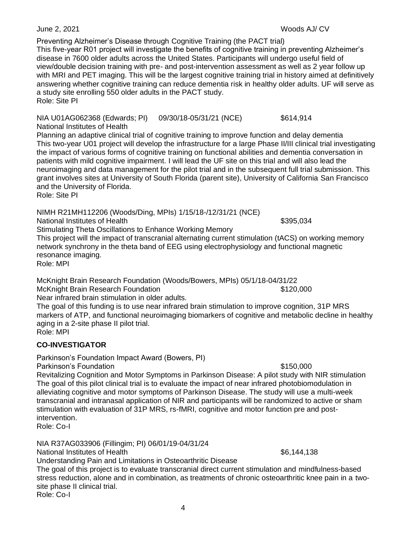Preventing Alzheimer's Disease through Cognitive Training (the PACT trial) This five-year R01 project will investigate the benefits of cognitive training in preventing Alzheimer's

disease in 7600 older adults across the United States. Participants will undergo useful field of view/double decision training with pre- and post-intervention assessment as well as 2 year follow up with MRI and PET imaging. This will be the largest cognitive training trial in history aimed at definitively answering whether cognitive training can reduce dementia risk in healthy older adults. UF will serve as a study site enrolling 550 older adults in the PACT study. Role: Site PI

NIA U01AG062368 (Edwards; PI) 09/30/18-05/31/21 (NCE) \$614,914 National Institutes of Health

Planning an adaptive clinical trial of cognitive training to improve function and delay dementia This two-year U01 project will develop the infrastructure for a large Phase II/III clinical trial investigating the impact of various forms of cognitive training on functional abilities and dementia conversation in patients with mild cognitive impairment. I will lead the UF site on this trial and will also lead the neuroimaging and data management for the pilot trial and in the subsequent full trial submission. This grant involves sites at University of South Florida (parent site), University of California San Francisco and the University of Florida.

Role: Site PI

NIMH R21MH112206 (Woods/Ding, MPIs) 1/15/18-/12/31/21 (NCE)

National Institutes of Health  $$395.034$ 

Stimulating Theta Oscillations to Enhance Working Memory

This project will the impact of transcranial alternating current stimulation (tACS) on working memory network synchrony in the theta band of EEG using electrophysiology and functional magnetic resonance imaging.

Role: MPI

McKnight Brain Research Foundation (Woods/Bowers, MPIs) 05/1/18-04/31/22 McKnight Brain Research Foundation **\$120,000** \$120,000

Near infrared brain stimulation in older adults.

The goal of this funding is to use near infrared brain stimulation to improve cognition, 31P MRS markers of ATP, and functional neuroimaging biomarkers of cognitive and metabolic decline in healthy aging in a 2-site phase II pilot trial. Role: MPI

# **CO-INVESTIGATOR**

Parkinson's Foundation Impact Award (Bowers, PI)

Parkinson's Foundation \$150,000 Revitalizing Cognition and Motor Symptoms in Parkinson Disease: A pilot study with NIR stimulation The goal of this pilot clinical trial is to evaluate the impact of near infrared photobiomodulation in alleviating cognitive and motor symptoms of Parkinson Disease. The study will use a multi-week transcranial and intranasal application of NIR and participants will be randomized to active or sham stimulation with evaluation of 31P MRS, rs-fMRI, cognitive and motor function pre and postintervention.

Role: Co-I

NIA R37AG033906 (Fillingim; PI) 06/01/19-04/31/24 National Institutes of Health  $\sim$  86,144,138 Understanding Pain and Limitations in Osteoarthritic Disease

The goal of this project is to evaluate transcranial direct current stimulation and mindfulness-based stress reduction, alone and in combination, as treatments of chronic osteoarthritic knee pain in a twosite phase II clinical trial.

Role: Co-I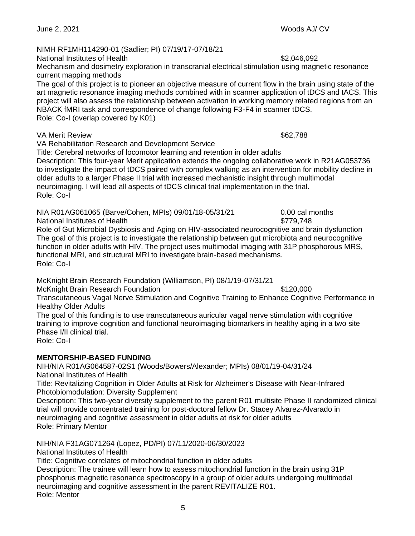5

NIMH RF1MH114290-01 (Sadlier; PI) 07/19/17-07/18/21

National Institutes of Health  $$2,046,092$ 

Mechanism and dosimetry exploration in transcranial electrical stimulation using magnetic resonance current mapping methods

The goal of this project is to pioneer an objective measure of current flow in the brain using state of the art magnetic resonance imaging methods combined with in scanner application of tDCS and tACS. This project will also assess the relationship between activation in working memory related regions from an NBACK fMRI task and correspondence of change following F3-F4 in scanner tDCS. Role: Co-I (overlap covered by K01)

VA Merit Review  $\frac{1}{2}$ 

VA Rehabilitation Research and Development Service

Title: Cerebral networks of locomotor learning and retention in older adults Description: This four-year Merit application extends the ongoing collaborative work in R21AG053736 to investigate the impact of tDCS paired with complex walking as an intervention for mobility decline in older adults to a larger Phase II trial with increased mechanistic insight through multimodal neuroimaging. I will lead all aspects of tDCS clinical trial implementation in the trial. Role: Co-I

NIA R01AG061065 (Barve/Cohen, MPIs) 09/01/18-05/31/21 0.00 cal months National Institutes of Health  $$779.748$ 

Role of Gut Microbial Dysbiosis and Aging on HIV-associated neurocognitive and brain dysfunction The goal of this project is to investigate the relationship between gut microbiota and neurocognitive function in older adults with HIV. The project uses multimodal imaging with 31P phosphorous MRS, functional MRI, and structural MRI to investigate brain-based mechanisms. Role: Co-I

McKnight Brain Research Foundation (Williamson, PI) 08/1/19-07/31/21

McKnight Brain Research Foundation **\$120,000** \$120,000

Transcutaneous Vagal Nerve Stimulation and Cognitive Training to Enhance Cognitive Performance in Healthy Older Adults

The goal of this funding is to use transcutaneous auricular vagal nerve stimulation with cognitive training to improve cognition and functional neuroimaging biomarkers in healthy aging in a two site Phase I/II clinical trial.

Role: Co-I

# **MENTORSHIP-BASED FUNDING**

NIH/NIA R01AG064587-02S1 (Woods/Bowers/Alexander; MPIs) 08/01/19-04/31/24 National Institutes of Health

Title: Revitalizing Cognition in Older Adults at Risk for Alzheimer's Disease with Near-Infrared Photobiomodulation: Diversity Supplement

Description: This two-year diversity supplement to the parent R01 multisite Phase II randomized clinical trial will provide concentrated training for post-doctoral fellow Dr. Stacey Alvarez-Alvarado in neuroimaging and cognitive assessment in older adults at risk for older adults Role: Primary Mentor

NIH/NIA F31AG071264 (Lopez, PD/PI) 07/11/2020-06/30/2023

National Institutes of Health

Title: Cognitive correlates of mitochondrial function in older adults

Description: The trainee will learn how to assess mitochondrial function in the brain using 31P phosphorus magnetic resonance spectroscopy in a group of older adults undergoing multimodal neuroimaging and cognitive assessment in the parent REVITALIZE R01. Role: Mentor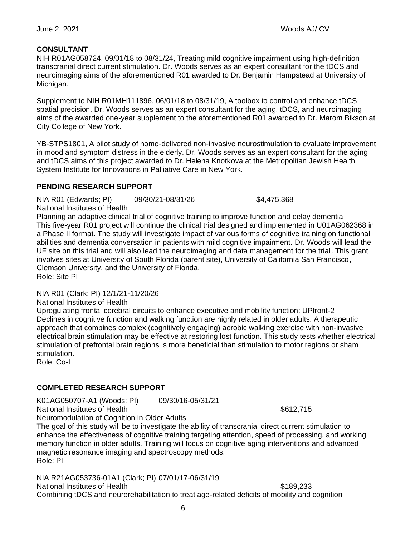# **CONSULTANT**

NIH R01AG058724, 09/01/18 to 08/31/24, Treating mild cognitive impairment using high-definition transcranial direct current stimulation. Dr. Woods serves as an expert consultant for the tDCS and neuroimaging aims of the aforementioned R01 awarded to Dr. Benjamin Hampstead at University of Michigan.

Supplement to NIH R01MH111896, 06/01/18 to 08/31/19, A toolbox to control and enhance tDCS spatial precision. Dr. Woods serves as an expert consultant for the aging, tDCS, and neuroimaging aims of the awarded one-year supplement to the aforementioned R01 awarded to Dr. Marom Bikson at City College of New York.

YB-STPS1801, A pilot study of home-delivered non-invasive neurostimulation to evaluate improvement in mood and symptom distress in the elderly. Dr. Woods serves as an expert consultant for the aging and tDCS aims of this project awarded to Dr. Helena Knotkova at the Metropolitan Jewish Health System Institute for Innovations in Palliative Care in New York.

# **PENDING RESEARCH SUPPORT**

NIA R01 (Edwards; PI) 09/30/21-08/31/26 \$4,475,368 National Institutes of Health

Planning an adaptive clinical trial of cognitive training to improve function and delay dementia This five-year R01 project will continue the clinical trial designed and implemented in U01AG062368 in a Phase II format. The study will investigate impact of various forms of cognitive training on functional abilities and dementia conversation in patients with mild cognitive impairment. Dr. Woods will lead the UF site on this trial and will also lead the neuroimaging and data management for the trial. This grant involves sites at University of South Florida (parent site), University of California San Francisco, Clemson University, and the University of Florida. Role: Site PI

NIA R01 (Clark; PI) 12/1/21-11/20/26

National Institutes of Health

Upregulating frontal cerebral circuits to enhance executive and mobility function: UPfront-2 Declines in cognitive function and walking function are highly related in older adults. A therapeutic approach that combines complex (cognitively engaging) aerobic walking exercise with non-invasive electrical brain stimulation may be effective at restoring lost function. This study tests whether electrical stimulation of prefrontal brain regions is more beneficial than stimulation to motor regions or sham stimulation.

Role: Co-I

# **COMPLETED RESEARCH SUPPORT**

K01AG050707-A1 (Woods; PI) 09/30/16-05/31/21 National Institutes of Health  $\frac{1}{10}$  and  $\frac{1}{10}$  and  $\frac{1}{10}$  and  $\frac{1}{10}$  and  $\frac{1}{10}$  and  $\frac{1}{10}$  and  $\frac{1}{10}$  and  $\frac{1}{10}$  and  $\frac{1}{10}$  and  $\frac{1}{10}$  and  $\frac{1}{10}$  and  $\frac{1}{10}$  and  $\frac{1}{10}$  a

Neuromodulation of Cognition in Older Adults

The goal of this study will be to investigate the ability of transcranial direct current stimulation to enhance the effectiveness of cognitive training targeting attention, speed of processing, and working memory function in older adults. Training will focus on cognitive aging interventions and advanced magnetic resonance imaging and spectroscopy methods. Role: PI

NIA R21AG053736-01A1 (Clark; PI) 07/01/17-06/31/19 National Institutes of Health  $$189.233$ Combining tDCS and neurorehabilitation to treat age-related deficits of mobility and cognition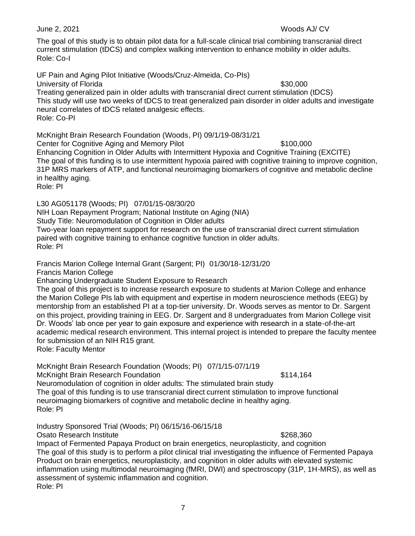The goal of this study is to obtain pilot data for a full-scale clinical trial combining transcranial direct current stimulation (tDCS) and complex walking intervention to enhance mobility in older adults. Role: Co-I

UF Pain and Aging Pilot Initiative (Woods/Cruz-Almeida, Co-PIs) University of Florida **\$30,000** and the state of the state of the state of the state of the state of the state of the state of the state of the state of the state of the state of the state of the state of the state of the Treating generalized pain in older adults with transcranial direct current stimulation (tDCS) This study will use two weeks of tDCS to treat generalized pain disorder in older adults and investigate neural correlates of tDCS related analgesic effects. Role: Co-PI

McKnight Brain Research Foundation (Woods, PI) 09/1/19-08/31/21 Center for Cognitive Aging and Memory Pilot **\$100,000** \$100,000

Enhancing Cognition in Older Adults with Intermittent Hypoxia and Cognitive Training (EXCITE) The goal of this funding is to use intermittent hypoxia paired with cognitive training to improve cognition, 31P MRS markers of ATP, and functional neuroimaging biomarkers of cognitive and metabolic decline in healthy aging.

Role: PI

L30 AG051178 (Woods; PI) 07/01/15-08/30/20 NIH Loan Repayment Program; National Institute on Aging (NIA) Study Title: Neuromodulation of Cognition in Older adults Two-year loan repayment support for research on the use of transcranial direct current stimulation paired with cognitive training to enhance cognitive function in older adults. Role: PI

Francis Marion College Internal Grant (Sargent; PI) 01/30/18-12/31/20 Francis Marion College

Enhancing Undergraduate Student Exposure to Research

The goal of this project is to increase research exposure to students at Marion College and enhance the Marion College PIs lab with equipment and expertise in modern neuroscience methods (EEG) by mentorship from an established PI at a top-tier university. Dr. Woods serves as mentor to Dr. Sargent on this project, providing training in EEG. Dr. Sargent and 8 undergraduates from Marion College visit Dr. Woods' lab once per year to gain exposure and experience with research in a state-of-the-art academic medical research environment. This internal project is intended to prepare the faculty mentee for submission of an NIH R15 grant.

Role: Faculty Mentor

McKnight Brain Research Foundation (Woods; PI) 07/1/15-07/1/19

McKnight Brain Research Foundation **\$114,164** \$114,164

Neuromodulation of cognition in older adults: The stimulated brain study The goal of this funding is to use transcranial direct current stimulation to improve functional neuroimaging biomarkers of cognitive and metabolic decline in healthy aging. Role: PI

Industry Sponsored Trial (Woods; PI) 06/15/16-06/15/18

Osato Research Institute **\$268,360 \$268,360** 

Impact of Fermented Papaya Product on brain energetics, neuroplasticity, and cognition The goal of this study is to perform a pilot clinical trial investigating the influence of Fermented Papaya Product on brain energetics, neuroplasticity, and cognition in older adults with elevated systemic inflammation using multimodal neuroimaging (fMRI, DWI) and spectroscopy (31P, 1H-MRS), as well as assessment of systemic inflammation and cognition. Role: PI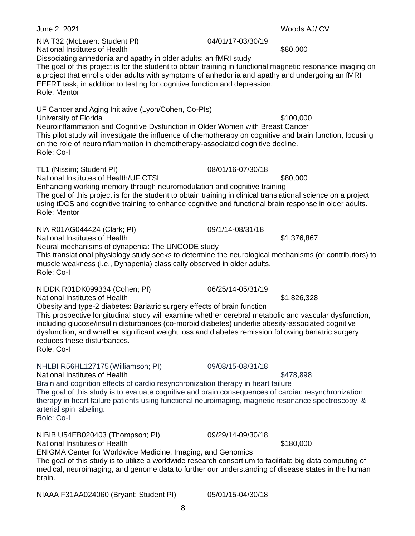June 2, 2021 Woods AJ/ CV NIA T32 (McLaren: Student PI) 04/01/17-03/30/19 National Institutes of Health  $$80,000$ Dissociating anhedonia and apathy in older adults: an fMRI study The goal of this project is for the student to obtain training in functional magnetic resonance imaging on a project that enrolls older adults with symptoms of anhedonia and apathy and undergoing an fMRI EEFRT task, in addition to testing for cognitive function and depression. Role: Mentor UF Cancer and Aging Initiative (Lyon/Cohen, Co-PIs) University of Florida **by Executive Contract Contract Contract Contract Contract Contract Contract Contract Contract Contract Contract Contract Contract Contract Contract Contract Contract Contract Contract Contract Contra** Neuroinflammation and Cognitive Dysfunction in Older Women with Breast Cancer This pilot study will investigate the influence of chemotherapy on cognitive and brain function, focusing on the role of neuroinflammation in chemotherapy-associated cognitive decline. Role: Co-I TL1 (Nissim; Student PI) 08/01/16-07/30/18 National Institutes of Health/UF CTSI **\$80,000** \$80,000 Enhancing working memory through neuromodulation and cognitive training The goal of this project is for the student to obtain training in clinical translational science on a project using tDCS and cognitive training to enhance cognitive and functional brain response in older adults. Role: Mentor NIA R01AG044424 (Clark; PI) 09/1/14-08/31/18 National Institutes of Health  $$1,376,867$ Neural mechanisms of dynapenia: The UNCODE study This translational physiology study seeks to determine the neurological mechanisms (or contributors) to muscle weakness (i.e., Dynapenia) classically observed in older adults. Role: Co-I NIDDK R01DK099334 (Cohen; PI) 06/25/14-05/31/19 National Institutes of Health  $$1,826,328$ Obesity and type-2 diabetes: Bariatric surgery effects of brain function This prospective longitudinal study will examine whether cerebral metabolic and vascular dysfunction, including glucose/insulin disturbances (co-morbid diabetes) underlie obesity-associated cognitive dysfunction, and whether significant weight loss and diabetes remission following bariatric surgery reduces these disturbances. Role: Co-I NHLBI R56HL127175(Williamson; PI) 09/08/15-08/31/18 National Institutes of Health  $$478.898$ Brain and cognition effects of cardio resynchronization therapy in heart failure The goal of this study is to evaluate cognitive and brain consequences of cardiac resynchronization therapy in heart failure patients using functional neuroimaging, magnetic resonance spectroscopy, & arterial spin labeling. Role: Co-I NIBIB U54EB020403 (Thompson; PI) 09/29/14-09/30/18 National Institutes of Health  $$180,000$ ENIGMA Center for Worldwide Medicine, Imaging, and Genomics The goal of this study is to utilize a worldwide research consortium to facilitate big data computing of medical, neuroimaging, and genome data to further our understanding of disease states in the human brain. NIAAA F31AA024060 (Bryant; Student PI) 05/01/15-04/30/18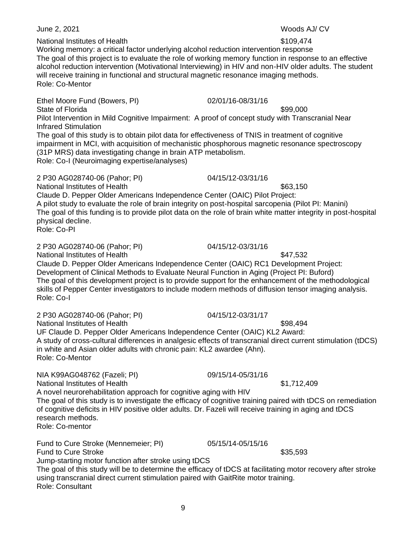2 P30 AG028740-06 (Pahor; PI) 04/15/12-03/31/16 National Institutes of Health  $$63,150$ Claude D. Pepper Older Americans Independence Center (OAIC) Pilot Project: A pilot study to evaluate the role of brain integrity on post-hospital sarcopenia (Pilot PI: Manini) The goal of this funding is to provide pilot data on the role of brain white matter integrity in post-hospital Role: Co-PI 2 P30 AG028740-06 (Pahor; PI) 04/15/12-03/31/16 National Institutes of Health  $$47.532$ 2 P30 AG028740-06 (Pahor; PI) 04/15/12-03/31/17 NIA K99AG048762 (Fazeli; PI) 09/15/14-05/31/16 National Institutes of Health  $$1,712,409$ Fund to Cure Stroke (Mennemeier; PI) 05/15/14-05/15/16

# National Institutes of Health  $$109.474$

Working memory: a critical factor underlying alcohol reduction intervention response The goal of this project is to evaluate the role of working memory function in response to an effective alcohol reduction intervention (Motivational Interviewing) in HIV and non-HIV older adults. The student will receive training in functional and structural magnetic resonance imaging methods. Role: Co-Mentor

Ethel Moore Fund (Bowers, PI) 02/01/16-08/31/16

State of Florida  $\sim$  899,000 Pilot Intervention in Mild Cognitive Impairment: A proof of concept study with Transcranial Near Infrared Stimulation The goal of this study is to obtain pilot data for effectiveness of TNIS in treatment of cognitive

impairment in MCI, with acquisition of mechanistic phosphorous magnetic resonance spectroscopy (31P MRS) data investigating change in brain ATP metabolism.

Role: Co-I (Neuroimaging expertise/analyses)

physical decline.

Claude D. Pepper Older Americans Independence Center (OAIC) RC1 Development Project: Development of Clinical Methods to Evaluate Neural Function in Aging (Project PI: Buford) The goal of this development project is to provide support for the enhancement of the methodological skills of Pepper Center investigators to include modern methods of diffusion tensor imaging analysis. Role: Co-I

National Institutes of Health  $$98,494$ UF Claude D. Pepper Older Americans Independence Center (OAIC) KL2 Award: A study of cross-cultural differences in analgesic effects of transcranial direct current stimulation (tDCS) in white and Asian older adults with chronic pain: KL2 awardee (Ahn). Role: Co-Mentor

A novel neurorehabilitation approach for cognitive aging with HIV The goal of this study is to investigate the efficacy of cognitive training paired with tDCS on remediation of cognitive deficits in HIV positive older adults. Dr. Fazeli will receive training in aging and tDCS research methods. Role: Co-mentor

Fund to Cure Stroke  $\sim$  835,593 Jump-starting motor function after stroke using tDCS The goal of this study will be to determine the efficacy of tDCS at facilitating motor recovery after stroke using transcranial direct current stimulation paired with GaitRite motor training. Role: Consultant

June 2, 2021 Woods AJ/ CV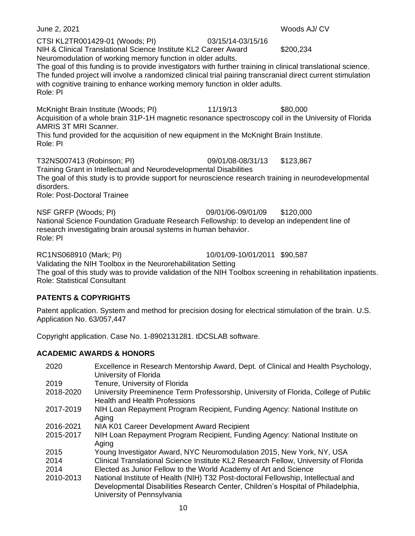CTSI KL2TR001429-01 (Woods; PI) 03/15/14-03/15/16 NIH & Clinical Translational Science Institute KL2 Career Award \$200,234 Neuromodulation of working memory function in older adults.

The goal of this funding is to provide investigators with further training in clinical translational science. The funded project will involve a randomized clinical trial pairing transcranial direct current stimulation with cognitive training to enhance working memory function in older adults. Role: PI

McKnight Brain Institute (Woods; PI) 11/19/13 \$80,000 Acquisition of a whole brain 31P-1H magnetic resonance spectroscopy coil in the University of Florida AMRIS 3T MRI Scanner.

This fund provided for the acquisition of new equipment in the McKnight Brain Institute. Role: PI

T32NS007413 (Robinson; PI) 09/01/08-08/31/13 \$123,867 Training Grant in Intellectual and Neurodevelopmental Disabilities The goal of this study is to provide support for neuroscience research training in neurodevelopmental disorders. Role: Post-Doctoral Trainee

NSF GRFP (Woods; PI) 09/01/06-09/01/09 \$120,000 National Science Foundation Graduate Research Fellowship: to develop an independent line of research investigating brain arousal systems in human behavior. Role: PI

RC1NS068910 (Mark; PI) 10/01/09-10/01/2011 \$90,587

Validating the NIH Toolbox in the Neurorehabilitation Setting The goal of this study was to provide validation of the NIH Toolbox screening in rehabilitation inpatients. Role: Statistical Consultant

# **PATENTS & COPYRIGHTS**

Patent application. System and method for precision dosing for electrical stimulation of the brain. U.S. Application No. 63/057,447

Copyright application. Case No. 1-8902131281. tDCSLAB software.

# **ACADEMIC AWARDS & HONORS**

| 2020      | Excellence in Research Mentorship Award, Dept. of Clinical and Health Psychology,<br>University of Florida                  |
|-----------|-----------------------------------------------------------------------------------------------------------------------------|
| 2019      | Tenure, University of Florida                                                                                               |
| 2018-2020 | University Preeminence Term Professorship, University of Florida, College of Public<br><b>Health and Health Professions</b> |
| 2017-2019 | NIH Loan Repayment Program Recipient, Funding Agency: National Institute on<br>Aging                                        |
| 2016-2021 | NIA K01 Career Development Award Recipient                                                                                  |
| 2015-2017 | NIH Loan Repayment Program Recipient, Funding Agency: National Institute on<br>Aging                                        |
| 2015      | Young Investigator Award, NYC Neuromodulation 2015, New York, NY, USA                                                       |
| 2014      | Clinical Translational Science Institute KL2 Research Fellow, University of Florida                                         |
| 2014      | Elected as Junior Fellow to the World Academy of Art and Science                                                            |
| 2010-2013 | National Institute of Health (NIH) T32 Post-doctoral Fellowship, Intellectual and                                           |
|           | Developmental Disabilities Research Center, Children's Hospital of Philadelphia,<br>University of Pennsylvania              |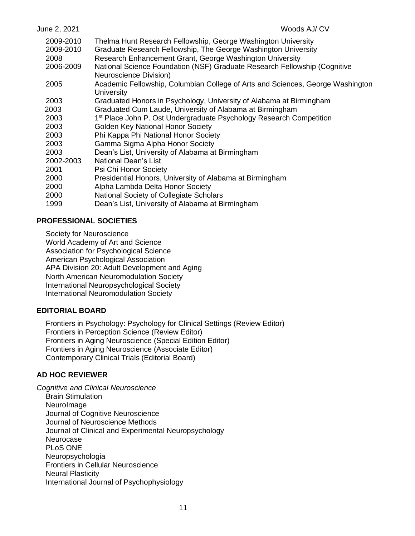| June 2, 2021                   | Woods AJ/CV                                                                                                                                                                                 |
|--------------------------------|---------------------------------------------------------------------------------------------------------------------------------------------------------------------------------------------|
| 2009-2010<br>2009-2010<br>2008 | Thelma Hunt Research Fellowship, George Washington University<br>Graduate Research Fellowship, The George Washington University<br>Research Enhancement Grant, George Washington University |
| 2006-2009                      | National Science Foundation (NSF) Graduate Research Fellowship (Cognitive                                                                                                                   |
|                                | Neuroscience Division)                                                                                                                                                                      |
| 2005                           | Academic Fellowship, Columbian College of Arts and Sciences, George Washington<br>University                                                                                                |
| 2003                           | Graduated Honors in Psychology, University of Alabama at Birmingham                                                                                                                         |
| 2003                           | Graduated Cum Laude, University of Alabama at Birmingham                                                                                                                                    |
| 2003                           | 1 <sup>st</sup> Place John P. Ost Undergraduate Psychology Research Competition                                                                                                             |
| 2003                           | <b>Golden Key National Honor Society</b>                                                                                                                                                    |
| 2003                           | Phi Kappa Phi National Honor Society                                                                                                                                                        |
| 2003                           | Gamma Sigma Alpha Honor Society                                                                                                                                                             |
| 2003                           | Dean's List, University of Alabama at Birmingham                                                                                                                                            |
| 2002-2003                      | <b>National Dean's List</b>                                                                                                                                                                 |
| 2001                           | Psi Chi Honor Society                                                                                                                                                                       |
| 2000                           | Presidential Honors, University of Alabama at Birmingham                                                                                                                                    |
| 2000                           | Alpha Lambda Delta Honor Society                                                                                                                                                            |
| 2000                           | National Society of Collegiate Scholars                                                                                                                                                     |
| 1999                           | Dean's List, University of Alabama at Birmingham                                                                                                                                            |

# **PROFESSIONAL SOCIETIES**

Society for Neuroscience

World Academy of Art and Science

Association for Psychological Science

American Psychological Association

APA Division 20: Adult Development and Aging

North American Neuromodulation Society

International Neuropsychological Society

International Neuromodulation Society

# **EDITORIAL BOARD**

Frontiers in Psychology: Psychology for Clinical Settings (Review Editor) Frontiers in Perception Science (Review Editor) Frontiers in Aging Neuroscience (Special Edition Editor) Frontiers in Aging Neuroscience (Associate Editor) Contemporary Clinical Trials (Editorial Board)

# **AD HOC REVIEWER**

*Cognitive and Clinical Neuroscience*  Brain Stimulation NeuroImage Journal of Cognitive Neuroscience Journal of Neuroscience Methods Journal of Clinical and Experimental Neuropsychology Neurocase PLoS ONE Neuropsychologia Frontiers in Cellular Neuroscience Neural Plasticity International Journal of Psychophysiology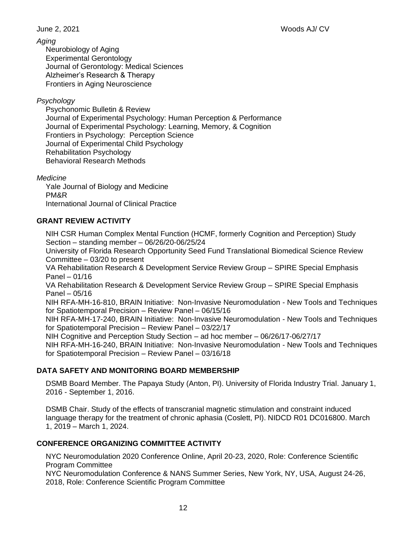# *Aging*

Neurobiology of Aging Experimental Gerontology Journal of Gerontology: Medical Sciences Alzheimer's Research & Therapy Frontiers in Aging Neuroscience

# *Psychology*

Psychonomic Bulletin & Review Journal of Experimental Psychology: Human Perception & Performance Journal of Experimental Psychology: Learning, Memory, & Cognition Frontiers in Psychology: Perception Science Journal of Experimental Child Psychology Rehabilitation Psychology Behavioral Research Methods

*Medicine* 

Yale Journal of Biology and Medicine PM&R International Journal of Clinical Practice

# **GRANT REVIEW ACTIVITY**

NIH CSR Human Complex Mental Function (HCMF, formerly Cognition and Perception) Study Section – standing member – 06/26/20-06/25/24

University of Florida Research Opportunity Seed Fund Translational Biomedical Science Review Committee – 03/20 to present

VA Rehabilitation Research & Development Service Review Group – SPIRE Special Emphasis Panel – 01/16

VA Rehabilitation Research & Development Service Review Group – SPIRE Special Emphasis Panel – 05/16

NIH RFA-MH-16-810, BRAIN Initiative: Non-Invasive Neuromodulation - New Tools and Techniques for Spatiotemporal Precision – Review Panel – 06/15/16

NIH RFA-MH-17-240, BRAIN Initiative: Non-Invasive Neuromodulation - New Tools and Techniques for Spatiotemporal Precision – Review Panel – 03/22/17

NIH Cognitive and Perception Study Section – ad hoc member – 06/26/17-06/27/17

NIH RFA-MH-16-240, BRAIN Initiative: Non-Invasive Neuromodulation - New Tools and Techniques for Spatiotemporal Precision – Review Panel – 03/16/18

# **DATA SAFETY AND MONITORING BOARD MEMBERSHIP**

DSMB Board Member. The Papaya Study (Anton, PI). University of Florida Industry Trial. January 1, 2016 - September 1, 2016.

DSMB Chair. Study of the effects of transcranial magnetic stimulation and constraint induced language therapy for the treatment of chronic aphasia (Coslett, PI). NIDCD R01 DC016800. March 1, 2019 – March 1, 2024.

# **CONFERENCE ORGANIZING COMMITTEE ACTIVITY**

NYC Neuromodulation 2020 Conference Online, April 20-23, 2020, Role: Conference Scientific Program Committee

NYC Neuromodulation Conference & NANS Summer Series, New York, NY, USA, August 24-26, 2018, Role: Conference Scientific Program Committee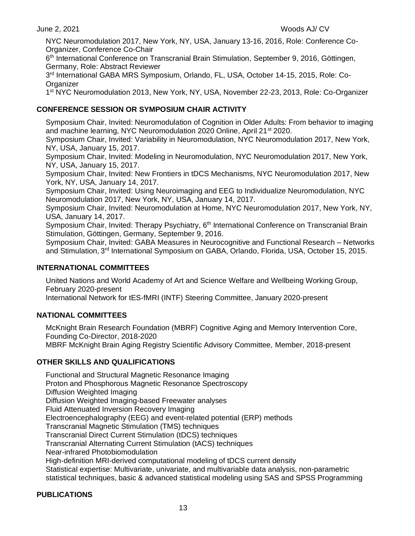NYC Neuromodulation 2017, New York, NY, USA, January 13-16, 2016, Role: Conference Co-Organizer, Conference Co-Chair

6<sup>th</sup> International Conference on Transcranial Brain Stimulation, September 9, 2016, Göttingen, Germany, Role: Abstract Reviewer

3<sup>rd</sup> International GABA MRS Symposium, Orlando, FL, USA, October 14-15, 2015, Role: Co-**Organizer** 

1<sup>st</sup> NYC Neuromodulation 2013, New York, NY, USA, November 22-23, 2013, Role: Co-Organizer

# **CONFERENCE SESSION OR SYMPOSIUM CHAIR ACTIVITY**

Symposium Chair, Invited: Neuromodulation of Cognition in Older Adults: From behavior to imaging and machine learning, NYC Neuromodulation 2020 Online, April 21<sup>st</sup> 2020.

Symposium Chair, Invited: Variability in Neuromodulation, NYC Neuromodulation 2017, New York, NY, USA, January 15, 2017.

Symposium Chair, Invited: Modeling in Neuromodulation, NYC Neuromodulation 2017, New York, NY, USA, January 15, 2017.

Symposium Chair, Invited: New Frontiers in tDCS Mechanisms, NYC Neuromodulation 2017, New York, NY, USA, January 14, 2017.

Symposium Chair, Invited: Using Neuroimaging and EEG to Individualize Neuromodulation, NYC Neuromodulation 2017, New York, NY, USA, January 14, 2017.

Symposium Chair, Invited: Neuromodulation at Home, NYC Neuromodulation 2017, New York, NY, USA, January 14, 2017.

Symposium Chair, Invited: Therapy Psychiatry, 6<sup>th</sup> International Conference on Transcranial Brain Stimulation, Göttingen, Germany, September 9, 2016.

Symposium Chair, Invited: GABA Measures in Neurocognitive and Functional Research – Networks and Stimulation, 3<sup>rd</sup> International Symposium on GABA, Orlando, Florida, USA, October 15, 2015.

# **INTERNATIONAL COMMITTEES**

United Nations and World Academy of Art and Science Welfare and Wellbeing Working Group, February 2020-present

International Network for tES-fMRI (INTF) Steering Committee, January 2020-present

# **NATIONAL COMMITTEES**

McKnight Brain Research Foundation (MBRF) Cognitive Aging and Memory Intervention Core, Founding Co-Director, 2018-2020 MBRF McKnight Brain Aging Registry Scientific Advisory Committee, Member, 2018-present

# **OTHER SKILLS AND QUALIFICATIONS**

Functional and Structural Magnetic Resonance Imaging Proton and Phosphorous Magnetic Resonance Spectroscopy Diffusion Weighted Imaging Diffusion Weighted Imaging-based Freewater analyses Fluid Attenuated Inversion Recovery Imaging Electroencephalography (EEG) and event-related potential (ERP) methods Transcranial Magnetic Stimulation (TMS) techniques Transcranial Direct Current Stimulation (tDCS) techniques Transcranial Alternating Current Stimulation (tACS) techniques Near-infrared Photobiomodulation High-definition MRI-derived computational modeling of tDCS current density Statistical expertise: Multivariate, univariate, and multivariable data analysis, non-parametric statistical techniques, basic & advanced statistical modeling using SAS and SPSS Programming

# **PUBLICATIONS**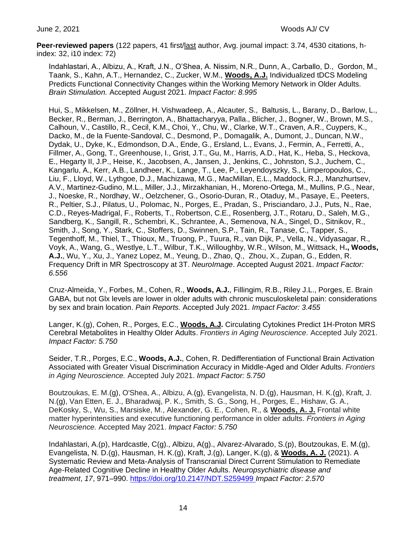**Peer-reviewed papers** (122 papers, 41 first/last author, Avg. journal impact: 3.74, 4530 citations, hindex: 32, i10 index: 72)

Indahlastari, A., Albizu, A., Kraft, J.N., O'Shea, A. Nissim, N.R., Dunn, A., Carballo, D., Gordon, M., Taank, S., Kahn, A.T., Hernandez, C., Zucker, W.M., **Woods, A.J.** Individualized tDCS Modeling Predicts Functional Connectivity Changes within the Working Memory Network in Older Adults. *Brain Stimulation.* Accepted August 2021. *Impact Factor: 8.995*

Hui, S., Mikkelsen, M., Zöllner, H. Vishwadeep, A., Alcauter, S., Baltusis, L., Barany, D., Barlow, L., Becker, R., Berman, J., Berrington, A., Bhattacharyya, Palla., Blicher, J., Bogner, W., Brown, M.S., Calhoun, V., Castillo, R., Cecil, K.M., Choi, Y., Chu, W., Clarke, W.T., Craven, A.R., Cuypers, K., Dacko, M., de la Fuente-Sandoval, C., Desmond, P., Domagalik, A., Dumont, J., Duncan, N.W., Dydak, U., Dyke, K., Edmondson, D.A., Ende, G., Ersland, L., Evans, J., Fermin, A., Ferretti, A., Fillmer, A., Gong, T., Greenhouse, I., Grist, J.T., Gu, M., Harris, A.D., Hat, K., Heba, S., Heckova, E., Hegarty II, J.P., Heise, K., Jacobsen, A., Jansen, J., Jenkins, C., Johnston, S.J., Juchem, C., Kangarlu, A., Kerr, A.B., Landheer, K., Lange, T., Lee, P., Leyendoyszky, S., Limperopoulos, C., Liu, F., Lloyd, W., Lythgoe, D.J., Machizawa, M.G., MacMillan, E.L., Maddock, R.J., Manzhurtsev, A.V., Martinez-Gudino, M.L., Miller, J.J., Mirzakhanian, H., Moreno-Ortega, M., Mullins, P.G., Near, J., Noeske, R., Nordhøy, W., Oelzchener, G., Osorio-Duran, R., Otaduy, M., Pasaye, E., Peeters, R., Peltier, S.J., Pilatus, U., Polomac, N., Porges, E., Pradan, S., Prisciandaro, J.J., Puts, N., Rae, C.D., Reyes-Madrigal, F., Roberts, T., Robertson, C.E., Rosenberg, J.T., Rotaru, D., Saleh, M.G., Sandberg, K., Sangill, R., Schembri, K., Schrantee, A., Semenova, N.A., Singel, D., Sitnikov, R., Smith, J., Song, Y., Stark, C., Stoffers, D., Swinnen, S.P., Tain, R., Tanase, C., Tapper, S., Tegenthoff, M., Thiel, T., Thioux, M., Truong, P., Tuura, R., van Dijk, P., Vella, N., Vidyasagar, R., Voyk, A., Wang, G., Westlye, L.T., Wilbur, T.K., Willoughby, W.R., Wilson, M., Wittsack, H**., Woods, A.J.**, Wu, Y., Xu, J., Yanez Lopez, M., Yeung, D., Zhao, Q., Zhou, X., Zupan, G., Edden, R. Frequency Drift in MR Spectroscopy at 3T. *NeuroImage*. Accepted August 2021. *Impact Factor: 6.556*

Cruz-Almeida, Y., Forbes, M., Cohen, R., **Woods, A.J.**, Fillingim, R.B., Riley J.L., Porges, E. Brain GABA, but not Glx levels are lower in older adults with chronic musculoskeletal pain: considerations by sex and brain location. *Pain Reports.* Accepted July 2021. *Impact Factor: 3.455*

Langer, K.(g), Cohen, R., Porges, E.C., **Woods, A.J.** Circulating Cytokines Predict 1H-Proton MRS Cerebral Metabolites in Healthy Older Adults. *Frontiers in Aging Neuroscience.* Accepted July 2021. *Impact Factor: 5.750*

Seider, T.R., Porges, E.C., **Woods, A.J.**, Cohen, R. Dedifferentiation of Functional Brain Activation Associated with Greater Visual Discrimination Accuracy in Middle-Aged and Older Adults. *Frontiers in Aging Neuroscience.* Accepted July 2021. *Impact Factor: 5.750*

Boutzoukas, E. M.(g), O'Shea, A., Albizu, A.(g), Evangelista, N. D.(g), Hausman, H. K.(g), Kraft, J. N.(g), Van Etten, E. J., Bharadwaj, P. K., Smith, S. G., Song, H., Porges, E., Hishaw, G. A., DeKosky, S., Wu, S., Marsiske, M., Alexander, G. E., Cohen, R., & **Woods, A. J.** Frontal white matter hyperintensities and executive functioning performance in older adults. *Frontiers in Aging Neuroscience.* Accepted May 2021. *Impact Factor: 5.750*

Indahlastari, A.(p), Hardcastle, C(g)., Albizu, A(g)., Alvarez-Alvarado, S.(p), Boutzoukas, E. M.(g), Evangelista, N. D.(g), Hausman, H. K.(g), Kraft, J.(g), Langer, K.(g), & **Woods, A. J.** (2021). A Systematic Review and Meta-Analysis of Transcranial Direct Current Stimulation to Remediate Age-Related Cognitive Decline in Healthy Older Adults. *Neuropsychiatric disease and treatment*, *17*, 971–990.<https://doi.org/10.2147/NDT.S259499> *Impact Factor: 2.570*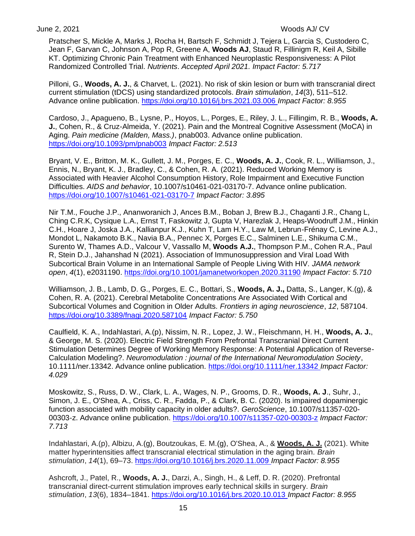Pratscher S, Mickle A, Marks J, Rocha H, Bartsch F, Schmidt J, Tejera L, Garcia S, Custodero C, Jean F, Garvan C, Johnson A, Pop R, Greene A, **Woods AJ**, Staud R, Fillinigm R, Keil A, Sibille KT. Optimizing Chronic Pain Treatment with Enhanced Neuroplastic Responsiveness: A Pilot Randomized Controlled Trial. *Nutrients*. *Accepted April 2021. Impact Factor: 5.717*

Pilloni, G., **Woods, A. J.**, & Charvet, L. (2021). No risk of skin lesion or burn with transcranial direct current stimulation (tDCS) using standardized protocols. *Brain stimulation*, *14*(3), 511–512. Advance online publication.<https://doi.org/10.1016/j.brs.2021.03.006> *Impact Factor: 8.955*

Cardoso, J., Apagueno, B., Lysne, P., Hoyos, L., Porges, E., Riley, J. L., Fillingim, R. B., **Woods, A. J.**, Cohen, R., & Cruz-Almeida, Y. (2021). Pain and the Montreal Cognitive Assessment (MoCA) in Aging. *Pain medicine (Malden, Mass.)*, pnab003. Advance online publication. <https://doi.org/10.1093/pm/pnab003> *Impact Factor: 2.513*

Bryant, V. E., Britton, M. K., Gullett, J. M., Porges, E. C., **Woods, A. J.**, Cook, R. L., Williamson, J., Ennis, N., Bryant, K. J., Bradley, C., & Cohen, R. A. (2021). Reduced Working Memory is Associated with Heavier Alcohol Consumption History, Role Impairment and Executive Function Difficulties. *AIDS and behavior*, 10.1007/s10461-021-03170-7. Advance online publication. <https://doi.org/10.1007/s10461-021-03170-7> *Impact Factor: 3.895*

Nir T.M., Fouche J.P., Ananworanich J, Ances B.M., Boban J, Brew B.J., Chaganti J.R., Chang L, Ching C.R.K, Cysique L.A., Ernst T, Faskowitz J, Gupta V, Harezlak J, Heaps-Woodruff J.M., Hinkin C.H., Hoare J, Joska J.A., Kallianpur K.J., Kuhn T, Lam H.Y., Law M, Lebrun-Frénay C, Levine A.J., Mondot L, Nakamoto B.K., Navia B.A., Pennec X, Porges E.C., Salminen L.E., Shikuma C.M., Surento W, Thames A.D., Valcour V, Vassallo M, **Woods A.J.**, Thompson P.M., Cohen R.A., Paul R, Stein D.J., Jahanshad N (2021). Association of Immunosuppression and Viral Load With Subcortical Brain Volume in an International Sample of People Living With HIV. *JAMA network open*, *4*(1), e2031190. <https://doi.org/10.1001/jamanetworkopen.2020.31190> *Impact Factor: 5.710*

Williamson, J. B., Lamb, D. G., Porges, E. C., Bottari, S., **Woods, A. J.,** Datta, S., Langer, K.(g), & Cohen, R. A. (2021). Cerebral Metabolite Concentrations Are Associated With Cortical and Subcortical Volumes and Cognition in Older Adults. *Frontiers in aging neuroscience*, *12*, 587104. <https://doi.org/10.3389/fnagi.2020.587104> *Impact Factor: 5.750*

Caulfield, K. A., Indahlastari, A.(p), Nissim, N. R., Lopez, J. W., Fleischmann, H. H., **Woods, A. J.**, & George, M. S. (2020). Electric Field Strength From Prefrontal Transcranial Direct Current Stimulation Determines Degree of Working Memory Response: A Potential Application of Reverse-Calculation Modeling?. *Neuromodulation : journal of the International Neuromodulation Society*, 10.1111/ner.13342. Advance online publication.<https://doi.org/10.1111/ner.13342> *Impact Factor: 4.029*

Moskowitz, S., Russ, D. W., Clark, L. A., Wages, N. P., Grooms, D. R., **Woods, A. J**., Suhr, J., Simon, J. E., O'Shea, A., Criss, C. R., Fadda, P., & Clark, B. C. (2020). Is impaired dopaminergic function associated with mobility capacity in older adults?. *GeroScience*, 10.1007/s11357-020- 00303-z. Advance online publication.<https://doi.org/10.1007/s11357-020-00303-z> *Impact Factor: 7.713*

Indahlastari, A.(p), Albizu, A.(g), Boutzoukas, E. M.(g), O'Shea, A., & **Woods, A. J.** (2021). White matter hyperintensities affect transcranial electrical stimulation in the aging brain. *Brain stimulation*, *14*(1), 69–73.<https://doi.org/10.1016/j.brs.2020.11.009> *Impact Factor: 8.955*

Ashcroft, J., Patel, R., **Woods, A. J.**, Darzi, A., Singh, H., & Leff, D. R. (2020). Prefrontal transcranial direct-current stimulation improves early technical skills in surgery. *Brain stimulation*, *13*(6), 1834–1841.<https://doi.org/10.1016/j.brs.2020.10.013> *Impact Factor: 8.955*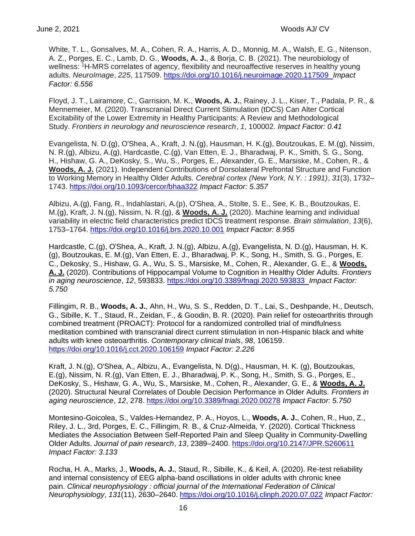White, T. L., Gonsalves, M. A., Cohen, R. A., Harris, A. D., Monnig, M. A., Walsh, E. G., Nitenson, A. Z., Porges, E. C., Lamb, D. G., **Woods, A. J.**, & Borja, C. B. (2021). The neurobiology of wellness: <sup>1</sup>H-MRS correlates of agency, flexibility and neuroaffective reserves in healthy young adults. *NeuroImage*, *225*, 117509.<https://doi.org/10.1016/j.neuroimage.2020.117509>*Impact Factor: 6.556*

Floyd, J. T., Lairamore, C., Garrision, M. K., **Woods, A. J.**, Rainey, J. L., Kiser, T., Padala, P. R., & Mennemeier, M. (2020). Transcranial Direct Current Stimulation (tDCS) Can Alter Cortical Excitability of the Lower Extremity in Healthy Participants: A Review and Methodological Study. *Frontiers in neurology and neuroscience research*, *1*, 100002. *Impact Factor: 0.41*

Evangelista, N. D.(g), O'Shea, A., Kraft, J. N.(g), Hausman, H. K.(g), Boutzoukas, E. M.(g), Nissim, N. R.(g), Albizu, A.(g), Hardcastle, C.(g), Van Etten, E. J., Bharadwaj, P. K., Smith, S. G., Song, H., Hishaw, G. A., DeKosky, S., Wu, S., Porges, E., Alexander, G. E., Marsiske, M., Cohen, R., & **Woods, A. J.** (2021). Independent Contributions of Dorsolateral Prefrontal Structure and Function to Working Memory in Healthy Older Adults. *Cerebral cortex (New York, N.Y. : 1991)*, *31*(3), 1732– 1743.<https://doi.org/10.1093/cercor/bhaa322> *Impact Factor: 5.357*

Albizu, A.(g), Fang, R., Indahlastari, A.(p), O'Shea, A., Stolte, S. E., See, K. B., Boutzoukas, E. M.(g), Kraft, J. N.(g), Nissim, N. R.(g), & **Woods, A. J.** (2020). Machine learning and individual variability in electric field characteristics predict tDCS treatment response. *Brain stimulation*, *13*(6), 1753–1764.<https://doi.org/10.1016/j.brs.2020.10.001> *Impact Factor: 8.955*

Hardcastle, C.(g), O'Shea, A., Kraft, J. N.(g), Albizu, A.(g), Evangelista, N. D.(g), Hausman, H. K. (g), Boutzoukas, E. M.(g), Van Etten, E. J., Bharadwaj, P. K., Song, H., Smith, S. G., Porges, E. C., Dekosky, S., Hishaw, G. A., Wu, S. S., Marsiske, M., Cohen, R., Alexander, G. E., & **Woods, A. J.** (2020). Contributions of Hippocampal Volume to Cognition in Healthy Older Adults. *Frontiers in aging neuroscience*, *12*, 593833.<https://doi.org/10.3389/fnagi.2020.593833>*Impact Factor: 5.750*

Fillingim, R. B., **Woods, A. J.**, Ahn, H., Wu, S. S., Redden, D. T., Lai, S., Deshpande, H., Deutsch, G., Sibille, K. T., Staud, R., Zeidan, F., & Goodin, B. R. (2020). Pain relief for osteoarthritis through combined treatment (PROACT): Protocol for a randomized controlled trial of mindfulness meditation combined with transcranial direct current stimulation in non-Hispanic black and white adults with knee osteoarthritis. *Contemporary clinical trials*, *98*, 106159. <https://doi.org/10.1016/j.cct.2020.106159> *Impact Factor: 2.226*

Kraft, J. N.(g), O'Shea, A., Albizu, A., Evangelista, N. D(g)., Hausman, H. K. (g), Boutzoukas, E.(g), Nissim, N. R.(g), Van Etten, E. J., Bharadwaj, P. K., Song, H., Smith, S. G., Porges, E., DeKosky, S., Hishaw, G. A., Wu, S., Marsiske, M., Cohen, R., Alexander, G. E., & **Woods, A. J.** (2020). Structural Neural Correlates of Double Decision Performance in Older Adults. *Frontiers in aging neuroscience*, *12*, 278.<https://doi.org/10.3389/fnagi.2020.00278> *Impact Factor: 5.750*

Montesino-Goicolea, S., Valdes-Hernandez, P. A., Hoyos, L., **Woods, A. J.**, Cohen, R., Huo, Z., Riley, J. L., 3rd, Porges, E. C., Fillingim, R. B., & Cruz-Almeida, Y. (2020). Cortical Thickness Mediates the Association Between Self-Reported Pain and Sleep Quality in Community-Dwelling Older Adults. *Journal of pain research*, *13*, 2389–2400.<https://doi.org/10.2147/JPR.S260611> *Impact Factor: 3.133*

Rocha, H. A., Marks, J., **Woods, A. J.**, Staud, R., Sibille, K., & Keil, A. (2020). Re-test reliability and internal consistency of EEG alpha-band oscillations in older adults with chronic knee pain. *Clinical neurophysiology : official journal of the International Federation of Clinical Neurophysiology*, *131*(11), 2630–2640.<https://doi.org/10.1016/j.clinph.2020.07.022> *Impact Factor:*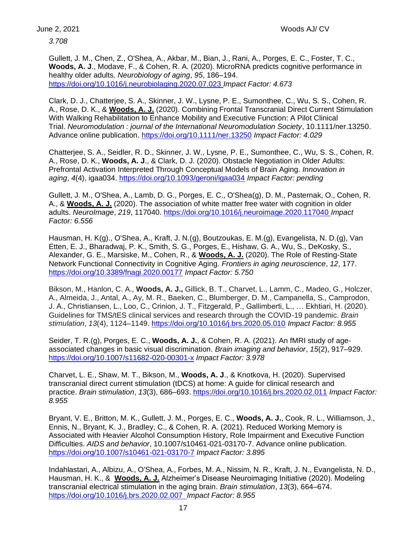*3.708*

Gullett, J. M., Chen, Z., O'Shea, A., Akbar, M., Bian, J., Rani, A., Porges, E. C., Foster, T. C., **Woods, A. J**., Modave, F., & Cohen, R. A. (2020). MicroRNA predicts cognitive performance in healthy older adults. *Neurobiology of aging*, *95*, 186–194. <https://doi.org/10.1016/j.neurobiolaging.2020.07.023> *Impact Factor: 4.673*

Clark, D. J., Chatterjee, S. A., Skinner, J. W., Lysne, P. E., Sumonthee, C., Wu, S. S., Cohen, R. A., Rose, D. K., & **Woods, A. J.** (2020). Combining Frontal Transcranial Direct Current Stimulation With Walking Rehabilitation to Enhance Mobility and Executive Function: A Pilot Clinical Trial. *Neuromodulation : journal of the International Neuromodulation Society*, 10.1111/ner.13250. Advance online publication.<https://doi.org/10.1111/ner.13250> *Impact Factor: 4.029*

Chatterjee, S. A., Seidler, R. D., Skinner, J. W., Lysne, P. E., Sumonthee, C., Wu, S. S., Cohen, R. A., Rose, D. K., **Woods, A. J**., & Clark, D. J. (2020). Obstacle Negotiation in Older Adults: Prefrontal Activation Interpreted Through Conceptual Models of Brain Aging. *Innovation in aging*, *4*(4), igaa034.<https://doi.org/10.1093/geroni/igaa034> *Impact Factor: pending*

Gullett, J. M., O'Shea, A., Lamb, D. G., Porges, E. C., O'Shea(g), D. M., Pasternak, O., Cohen, R. A., & **Woods, A. J.** (2020). The association of white matter free water with cognition in older adults. *NeuroImage*, *219*, 117040.<https://doi.org/10.1016/j.neuroimage.2020.117040> *Impact Factor: 6.556*

Hausman, H. K(g)., O'Shea, A., Kraft, J. N.(g), Boutzoukas, E. M.(g), Evangelista, N. D.(g), Van Etten, E. J., Bharadwaj, P. K., Smith, S. G., Porges, E., Hishaw, G. A., Wu, S., DeKosky, S., Alexander, G. E., Marsiske, M., Cohen, R., & **Woods, A. J.** (2020). The Role of Resting-State Network Functional Connectivity in Cognitive Aging. *Frontiers in aging neuroscience*, *12*, 177. <https://doi.org/10.3389/fnagi.2020.00177> *Impact Factor: 5.750*

Bikson, M., Hanlon, C. A., **Woods, A. J.,** Gillick, B. T., Charvet, L., Lamm, C., Madeo, G., Holczer, A., Almeida, J., Antal, A., Ay, M. R., Baeken, C., Blumberger, D. M., Campanella, S., Camprodon, J. A., Christiansen, L., Loo, C., Crinion, J. T., Fitzgerald, P., Gallimberti, L., … Ekhtiari, H. (2020). Guidelines for TMS/tES clinical services and research through the COVID-19 pandemic. *Brain stimulation*, *13*(4), 1124–1149.<https://doi.org/10.1016/j.brs.2020.05.010> *Impact Factor: 8.955*

Seider, T. R.(g), Porges, E. C., **Woods, A. J.**, & Cohen, R. A. (2021). An fMRI study of ageassociated changes in basic visual discrimination. *Brain imaging and behavior*, *15*(2), 917–929. <https://doi.org/10.1007/s11682-020-00301-x> *Impact Factor: 3.978*

Charvet, L. E., Shaw, M. T., Bikson, M., **Woods, A. J**., & Knotkova, H. (2020). Supervised transcranial direct current stimulation (tDCS) at home: A guide for clinical research and practice. *Brain stimulation*, *13*(3), 686–693.<https://doi.org/10.1016/j.brs.2020.02.011> *Impact Factor: 8.955*

Bryant, V. E., Britton, M. K., Gullett, J. M., Porges, E. C., **Woods, A. J.**, Cook, R. L., Williamson, J., Ennis, N., Bryant, K. J., Bradley, C., & Cohen, R. A. (2021). Reduced Working Memory is Associated with Heavier Alcohol Consumption History, Role Impairment and Executive Function Difficulties. *AIDS and behavior*, 10.1007/s10461-021-03170-7. Advance online publication. <https://doi.org/10.1007/s10461-021-03170-7> *Impact Factor: 3.895*

Indahlastari, A., Albizu, A., O'Shea, A., Forbes, M. A., Nissim, N. R., Kraft, J. N., Evangelista, N. D., Hausman, H. K., & **Woods, A. J.** Alzheimer's Disease Neuroimaging Initiative (2020). Modeling transcranial electrical stimulation in the aging brain. *Brain stimulation*, *13*(3), 664–674. <https://doi.org/10.1016/j.brs.2020.02.007>*Impact Factor: 8.955*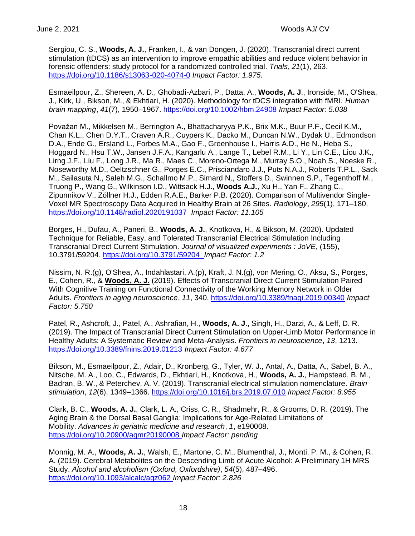Sergiou, C. S., **Woods, A. J.**, Franken, I., & van Dongen, J. (2020). Transcranial direct current stimulation (tDCS) as an intervention to improve empathic abilities and reduce violent behavior in forensic offenders: study protocol for a randomized controlled trial. *Trials*, *21*(1), 263. <https://doi.org/10.1186/s13063-020-4074-0> *Impact Factor: 1.975.*

Esmaeilpour, Z., Shereen, A. D., Ghobadi-Azbari, P., Datta, A., **Woods, A. J**., Ironside, M., O'Shea, J., Kirk, U., Bikson, M., & Ekhtiari, H. (2020). Methodology for tDCS integration with fMRI. *Human brain mapping*, *41*(7), 1950–1967.<https://doi.org/10.1002/hbm.24908> *Impact Factor: 5.038*

Považan M., Mikkelsen M., Berrington A., Bhattacharyya P.K., Brix M.K., Buur P.F., Cecil K.M., Chan K.L., Chen D.Y.T., Craven A.R., Cuypers K., Dacko M., Duncan N.W., Dydak U., Edmondson D.A., Ende G., Ersland L., Forbes M.A., Gao F., Greenhouse I., Harris A.D., He N., Heba S., Hoggard N., Hsu T.W., Jansen J.F.A., Kangarlu A., Lange T., Lebel R.M., Li Y., Lin C.E., Liou J.K., Lirng J.F., Liu F., Long J.R., Ma R., Maes C., Moreno-Ortega M., Murray S.O., Noah S., Noeske R., Noseworthy M.D., Oeltzschner G., Porges E.C., Prisciandaro J.J., Puts N.A.J., Roberts T.P.L., Sack M., Sailasuta N., Saleh M.G., Schallmo M.P., Simard N., Stoffers D., Swinnen S.P., Tegenthoff M., Truong P., Wang G., Wilkinson I.D., Wittsack H.J., **Woods A.J.**, Xu H., Yan F., Zhang C., Zipunnikov V., Zöllner H.J., Edden R.A.E., Barker P.B. (2020). Comparison of Multivendor Single-Voxel MR Spectroscopy Data Acquired in Healthy Brain at 26 Sites. *Radiology*, *295*(1), 171–180. <https://doi.org/10.1148/radiol.2020191037>*Impact Factor: 11.105*

Borges, H., Dufau, A., Paneri, B., **Woods, A. J.**, Knotkova, H., & Bikson, M. (2020). Updated Technique for Reliable, Easy, and Tolerated Transcranial Electrical Stimulation Including Transcranial Direct Current Stimulation. *Journal of visualized experiments : JoVE*, (155), 10.3791/59204.<https://doi.org/10.3791/59204>*Impact Factor: 1.2*

Nissim, N. R.(g), O'Shea, A., Indahlastari, A.(p), Kraft, J. N.(g), von Mering, O., Aksu, S., Porges, E., Cohen, R., & **Woods, A. J.** (2019). Effects of Transcranial Direct Current Stimulation Paired With Cognitive Training on Functional Connectivity of the Working Memory Network in Older Adults. *Frontiers in aging neuroscience*, *11*, 340.<https://doi.org/10.3389/fnagi.2019.00340> *Impact Factor: 5.750*

Patel, R., Ashcroft, J., Patel, A., Ashrafian, H., **Woods, A. J**., Singh, H., Darzi, A., & Leff, D. R. (2019). The Impact of Transcranial Direct Current Stimulation on Upper-Limb Motor Performance in Healthy Adults: A Systematic Review and Meta-Analysis. *Frontiers in neuroscience*, *13*, 1213. <https://doi.org/10.3389/fnins.2019.01213> *Impact Factor: 4.677*

Bikson, M., Esmaeilpour, Z., Adair, D., Kronberg, G., Tyler, W. J., Antal, A., Datta, A., Sabel, B. A., Nitsche, M. A., Loo, C., Edwards, D., Ekhtiari, H., Knotkova, H., **Woods, A. J.**, Hampstead, B. M., Badran, B. W., & Peterchev, A. V. (2019). Transcranial electrical stimulation nomenclature. *Brain stimulation*, *12*(6), 1349–1366.<https://doi.org/10.1016/j.brs.2019.07.010> *Impact Factor: 8.955*

Clark, B. C., **Woods, A. J.**, Clark, L. A., Criss, C. R., Shadmehr, R., & Grooms, D. R. (2019). The Aging Brain & the Dorsal Basal Ganglia: Implications for Age-Related Limitations of Mobility. *Advances in geriatric medicine and research*, *1*, e190008. <https://doi.org/10.20900/agmr20190008> *Impact Factor: pending*

Monnig, M. A., **Woods, A. J.**, Walsh, E., Martone, C. M., Blumenthal, J., Monti, P. M., & Cohen, R. A. (2019). Cerebral Metabolites on the Descending Limb of Acute Alcohol: A Preliminary 1H MRS Study. *Alcohol and alcoholism (Oxford, Oxfordshire)*, *54*(5), 487–496. <https://doi.org/10.1093/alcalc/agz062> *Impact Factor: 2.826*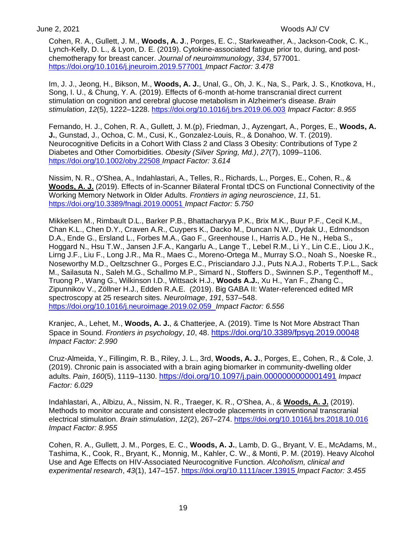Cohen, R. A., Gullett, J. M., **Woods, A. J**., Porges, E. C., Starkweather, A., Jackson-Cook, C. K., Lynch-Kelly, D. L., & Lyon, D. E. (2019). Cytokine-associated fatigue prior to, during, and postchemotherapy for breast cancer. *Journal of neuroimmunology*, *334*, 577001. <https://doi.org/10.1016/j.jneuroim.2019.577001> *Impact Factor: 3.478*

Im, J. J., Jeong, H., Bikson, M., **Woods, A. J.**, Unal, G., Oh, J. K., Na, S., Park, J. S., Knotkova, H., Song, I. U., & Chung, Y. A. (2019). Effects of 6-month at-home transcranial direct current stimulation on cognition and cerebral glucose metabolism in Alzheimer's disease. *Brain stimulation*, *12*(5), 1222–1228.<https://doi.org/10.1016/j.brs.2019.06.003> *Impact Factor: 8.955*

Fernando, H. J., Cohen, R. A., Gullett, J. M.(p), Friedman, J., Ayzengart, A., Porges, E., **Woods, A. J.**, Gunstad, J., Ochoa, C. M., Cusi, K., Gonzalez-Louis, R., & Donahoo, W. T. (2019). Neurocognitive Deficits in a Cohort With Class 2 and Class 3 Obesity: Contributions of Type 2 Diabetes and Other Comorbidities. *Obesity (Silver Spring, Md.)*, *27*(7), 1099–1106. <https://doi.org/10.1002/oby.22508> *Impact Factor: 3.614*

Nissim, N. R., O'Shea, A., Indahlastari, A., Telles, R., Richards, L., Porges, E., Cohen, R., & **Woods, A. J.** (2019). Effects of in-Scanner Bilateral Frontal tDCS on Functional Connectivity of the Working Memory Network in Older Adults. *Frontiers in aging neuroscience*, *11*, 51. <https://doi.org/10.3389/fnagi.2019.00051> *Impact Factor: 5.750*

Mikkelsen M., Rimbault D.L., Barker P.B., Bhattacharyya P.K., Brix M.K., Buur P.F., Cecil K.M., Chan K.L., Chen D.Y., Craven A.R., Cuypers K., Dacko M., Duncan N.W., Dydak U., Edmondson D.A., Ende G., Ersland L., Forbes M.A., Gao F., Greenhouse I., Harris A.D., He N., Heba S., Hoggard N., Hsu T.W., Jansen J.F.A., Kangarlu A., Lange T., Lebel R.M., Li Y., Lin C.E., Liou J.K., Lirng J.F., Liu F., Long J.R., Ma R., Maes C., Moreno-Ortega M., Murray S.O., Noah S., Noeske R., Noseworthy M.D., Oeltzschner G., Porges E.C., Prisciandaro J.J., Puts N.A.J., Roberts T.P.L., Sack M., Sailasuta N., Saleh M.G., Schallmo M.P., Simard N., Stoffers D., Swinnen S.P., Tegenthoff M., Truong P., Wang G., Wilkinson I.D., Wittsack H.J., **Woods A.J.**, Xu H., Yan F., Zhang C., Zipunnikov V., Zöllner H.J., Edden R.A.E. (2019). Big GABA II: Water-referenced edited MR spectroscopy at 25 research sites. *NeuroImage*, *191*, 537–548. <https://doi.org/10.1016/j.neuroimage.2019.02.059>*Impact Factor: 6.556*

Kranjec, A., Lehet, M., **Woods, A. J.**, & Chatterjee, A. (2019). Time Is Not More Abstract Than Space in Sound. *Frontiers in psychology*, *10*, 48. <https://doi.org/10.3389/fpsyg.2019.00048> *Impact Factor: 2.990*

Cruz-Almeida, Y., Fillingim, R. B., Riley, J. L., 3rd, **Woods, A. J.**, Porges, E., Cohen, R., & Cole, J. (2019). Chronic pain is associated with a brain aging biomarker in community-dwelling older adults. *Pain*, *160*(5), 1119–1130. <https://doi.org/10.1097/j.pain.0000000000001491> *Impact Factor: 6.029*

Indahlastari, A., Albizu, A., Nissim, N. R., Traeger, K. R., O'Shea, A., & **Woods, A. J.** (2019). Methods to monitor accurate and consistent electrode placements in conventional transcranial electrical stimulation. *Brain stimulation*, *12*(2), 267–274.<https://doi.org/10.1016/j.brs.2018.10.016> *Impact Factor: 8.955*

Cohen, R. A., Gullett, J. M., Porges, E. C., **Woods, A. J.**, Lamb, D. G., Bryant, V. E., McAdams, M., Tashima, K., Cook, R., Bryant, K., Monnig, M., Kahler, C. W., & Monti, P. M. (2019). Heavy Alcohol Use and Age Effects on HIV-Associated Neurocognitive Function. *Alcoholism, clinical and experimental research*, *43*(1), 147–157.<https://doi.org/10.1111/acer.13915> *Impact Factor: 3.455*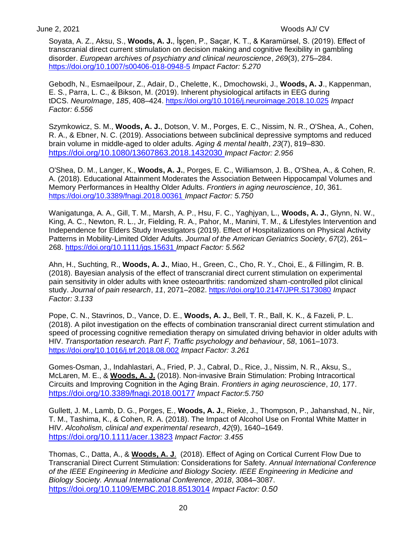Soyata, A. Z., Aksu, S., **Woods, A. J.**, İşçen, P., Saçar, K. T., & Karamürsel, S. (2019). Effect of transcranial direct current stimulation on decision making and cognitive flexibility in gambling disorder. *European archives of psychiatry and clinical neuroscience*, *269*(3), 275–284. <https://doi.org/10.1007/s00406-018-0948-5> *Impact Factor: 5.270*

Gebodh, N., Esmaeilpour, Z., Adair, D., Chelette, K., Dmochowski, J., **Woods, A. J**., Kappenman, E. S., Parra, L. C., & Bikson, M. (2019). Inherent physiological artifacts in EEG during tDCS. *NeuroImage*, *185*, 408–424.<https://doi.org/10.1016/j.neuroimage.2018.10.025> *Impact Factor: 6.556*

Szymkowicz, S. M., **Woods, A. J.**, Dotson, V. M., Porges, E. C., Nissim, N. R., O'Shea, A., Cohen, R. A., & Ebner, N. C. (2019). Associations between subclinical depressive symptoms and reduced brain volume in middle-aged to older adults. *Aging & mental health*, *23*(7), 819–830. <https://doi.org/10.1080/13607863.2018.1432030> *Impact Factor: 2.956*

O'Shea, D. M., Langer, K., **Woods, A. J.**, Porges, E. C., Williamson, J. B., O'Shea, A., & Cohen, R. A. (2018). Educational Attainment Moderates the Association Between Hippocampal Volumes and Memory Performances in Healthy Older Adults. *Frontiers in aging neuroscience*, *10*, 361. <https://doi.org/10.3389/fnagi.2018.00361> *Impact Factor: 5.750*

Wanigatunga, A. A., Gill, T. M., Marsh, A. P., Hsu, F. C., Yaghjyan, L., **Woods, A. J.**, Glynn, N. W., King, A. C., Newton, R. L., Jr, Fielding, R. A., Pahor, M., Manini, T. M., & Lifestyles Intervention and Independence for Elders Study Investigators (2019). Effect of Hospitalizations on Physical Activity Patterns in Mobility-Limited Older Adults. *Journal of the American Geriatrics Society*, *67*(2), 261– 268.<https://doi.org/10.1111/jgs.15631> *Impact Factor: 5.562*

Ahn, H., Suchting, R., **Woods, A. J.**, Miao, H., Green, C., Cho, R. Y., Choi, E., & Fillingim, R. B. (2018). Bayesian analysis of the effect of transcranial direct current stimulation on experimental pain sensitivity in older adults with knee osteoarthritis: randomized sham-controlled pilot clinical study. *Journal of pain research*, *11*, 2071–2082.<https://doi.org/10.2147/JPR.S173080> *Impact Factor: 3.133*

Pope, C. N., Stavrinos, D., Vance, D. E., **Woods, A. J.**, Bell, T. R., Ball, K. K., & Fazeli, P. L. (2018). A pilot investigation on the effects of combination transcranial direct current stimulation and speed of processing cognitive remediation therapy on simulated driving behavior in older adults with HIV. *Transportation research. Part F, Traffic psychology and behaviour*, *58*, 1061–1073. <https://doi.org/10.1016/j.trf.2018.08.002> *Impact Factor: 3.261*

Gomes-Osman, J., Indahlastari, A., Fried, P. J., Cabral, D., Rice, J., Nissim, N. R., Aksu, S., McLaren, M. E., & **Woods, A. J.** (2018). Non-invasive Brain Stimulation: Probing Intracortical Circuits and Improving Cognition in the Aging Brain. *Frontiers in aging neuroscience*, *10*, 177. <https://doi.org/10.3389/fnagi.2018.00177> *Impact Factor:5.750*

Gullett, J. M., Lamb, D. G., Porges, E., **Woods, A. J.**, Rieke, J., Thompson, P., Jahanshad, N., Nir, T. M., Tashima, K., & Cohen, R. A. (2018). The Impact of Alcohol Use on Frontal White Matter in HIV. *Alcoholism, clinical and experimental research*, *42*(9), 1640–1649. <https://doi.org/10.1111/acer.13823> *Impact Factor: 3.455*

Thomas, C., Datta, A., & **Woods, A. J**. (2018). Effect of Aging on Cortical Current Flow Due to Transcranial Direct Current Stimulation: Considerations for Safety. *Annual International Conference of the IEEE Engineering in Medicine and Biology Society. IEEE Engineering in Medicine and Biology Society. Annual International Conference*, *2018*, 3084–3087. <https://doi.org/10.1109/EMBC.2018.8513014> *Impact Factor: 0.50*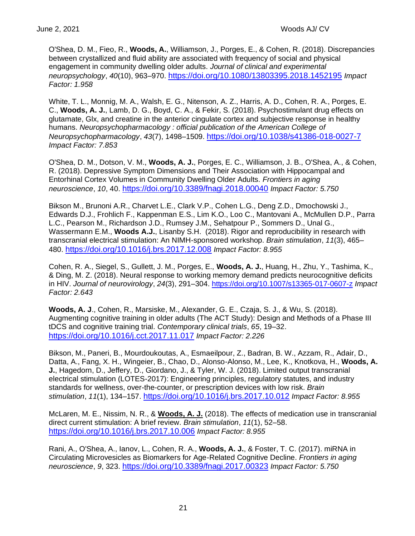O'Shea, D. M., Fieo, R., **Woods, A.**, Williamson, J., Porges, E., & Cohen, R. (2018). Discrepancies between crystallized and fluid ability are associated with frequency of social and physical engagement in community dwelling older adults. *Journal of clinical and experimental neuropsychology*, *40*(10), 963–970. <https://doi.org/10.1080/13803395.2018.1452195> *Impact Factor: 1.958*

White, T. L., Monnig, M. A., Walsh, E. G., Nitenson, A. Z., Harris, A. D., Cohen, R. A., Porges, E. C., **Woods, A. J.**, Lamb, D. G., Boyd, C. A., & Fekir, S. (2018). Psychostimulant drug effects on glutamate, Glx, and creatine in the anterior cingulate cortex and subjective response in healthy humans. *Neuropsychopharmacology : official publication of the American College of Neuropsychopharmacology*, *43*(7), 1498–1509. <https://doi.org/10.1038/s41386-018-0027-7> *Impact Factor: 7.853*

O'Shea, D. M., Dotson, V. M., **Woods, A. J.**, Porges, E. C., Williamson, J. B., O'Shea, A., & Cohen, R. (2018). Depressive Symptom Dimensions and Their Association with Hippocampal and Entorhinal Cortex Volumes in Community Dwelling Older Adults. *Frontiers in aging neuroscience*, *10*, 40. <https://doi.org/10.3389/fnagi.2018.00040> *Impact Factor: 5.750*

Bikson M., Brunoni A.R., Charvet L.E., Clark V.P., Cohen L.G., Deng Z.D., Dmochowski J., Edwards D.J., Frohlich F., Kappenman E.S., Lim K.O., Loo C., Mantovani A., McMullen D.P., Parra L.C., Pearson M., Richardson J.D., Rumsey J.M., Sehatpour P., Sommers D., Unal G., Wassermann E.M., **Woods A.J.**, Lisanby S.H. (2018). Rigor and reproducibility in research with transcranial electrical stimulation: An NIMH-sponsored workshop. *Brain stimulation*, *11*(3), 465– 480. <https://doi.org/10.1016/j.brs.2017.12.008> *Impact Factor: 8.955*

Cohen, R. A., Siegel, S., Gullett, J. M., Porges, E., **Woods, A. J.**, Huang, H., Zhu, Y., Tashima, K., & Ding, M. Z. (2018). Neural response to working memory demand predicts neurocognitive deficits in HIV. *Journal of neurovirology*, *24*(3), 291–304.<https://doi.org/10.1007/s13365-017-0607-z> *Impact Factor: 2.643*

**Woods, A. J**., Cohen, R., Marsiske, M., Alexander, G. E., Czaja, S. J., & Wu, S. (2018). Augmenting cognitive training in older adults (The ACT Study): Design and Methods of a Phase III tDCS and cognitive training trial. *Contemporary clinical trials*, *65*, 19–32. <https://doi.org/10.1016/j.cct.2017.11.017> *Impact Factor: 2.226*

Bikson, M., Paneri, B., Mourdoukoutas, A., Esmaeilpour, Z., Badran, B. W., Azzam, R., Adair, D., Datta, A., Fang, X. H., Wingeier, B., Chao, D., Alonso-Alonso, M., Lee, K., Knotkova, H., **Woods, A. J.**, Hagedorn, D., Jeffery, D., Giordano, J., & Tyler, W. J. (2018). Limited output transcranial electrical stimulation (LOTES-2017): Engineering principles, regulatory statutes, and industry standards for wellness, over-the-counter, or prescription devices with low risk. *Brain stimulation*, *11*(1), 134–157. <https://doi.org/10.1016/j.brs.2017.10.012> *Impact Factor: 8.955*

McLaren, M. E., Nissim, N. R., & **Woods, A. J.** (2018). The effects of medication use in transcranial direct current stimulation: A brief review. *Brain stimulation*, *11*(1), 52–58. <https://doi.org/10.1016/j.brs.2017.10.006> *Impact Factor: 8.955*

Rani, A., O'Shea, A., Ianov, L., Cohen, R. A., **Woods, A. J.**, & Foster, T. C. (2017). miRNA in Circulating Microvesicles as Biomarkers for Age-Related Cognitive Decline. *Frontiers in aging neuroscience*, *9*, 323. <https://doi.org/10.3389/fnagi.2017.00323> *Impact Factor: 5.750*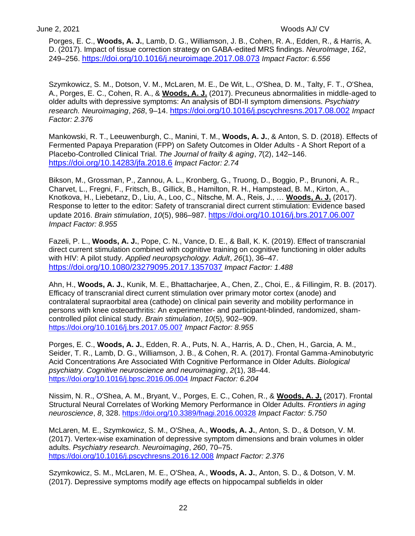Porges, E. C., **Woods, A. J.**, Lamb, D. G., Williamson, J. B., Cohen, R. A., Edden, R., & Harris, A. D. (2017). Impact of tissue correction strategy on GABA-edited MRS findings. *NeuroImage*, *162*, 249–256. <https://doi.org/10.1016/j.neuroimage.2017.08.073> *Impact Factor: 6.556*

Szymkowicz, S. M., Dotson, V. M., McLaren, M. E., De Wit, L., O'Shea, D. M., Talty, F. T., O'Shea, A., Porges, E. C., Cohen, R. A., & **Woods, A. J.** (2017). Precuneus abnormalities in middle-aged to older adults with depressive symptoms: An analysis of BDI-II symptom dimensions. *Psychiatry research. Neuroimaging*, *268*, 9–14. <https://doi.org/10.1016/j.pscychresns.2017.08.002> *Impact Factor: 2.376*

Mankowski, R. T., Leeuwenburgh, C., Manini, T. M., **Woods, A. J.**, & Anton, S. D. (2018). Effects of Fermented Papaya Preparation (FPP) on Safety Outcomes in Older Adults - A Short Report of a Placebo-Controlled Clinical Trial. *The Journal of frailty & aging*, *7*(2), 142–146. <https://doi.org/10.14283/jfa.2018.6> *Impact Factor: 2.74*

Bikson, M., Grossman, P., Zannou, A. L., Kronberg, G., Truong, D., Boggio, P., Brunoni, A. R., Charvet, L., Fregni, F., Fritsch, B., Gillick, B., Hamilton, R. H., Hampstead, B. M., Kirton, A., Knotkova, H., Liebetanz, D., Liu, A., Loo, C., Nitsche, M. A., Reis, J., … **Woods, A. J.** (2017). Response to letter to the editor: Safety of transcranial direct current stimulation: Evidence based update 2016. *Brain stimulation*, *10*(5), 986–987. <https://doi.org/10.1016/j.brs.2017.06.007> *Impact Factor: 8.955*

Fazeli, P. L., **Woods, A. J.**, Pope, C. N., Vance, D. E., & Ball, K. K. (2019). Effect of transcranial direct current stimulation combined with cognitive training on cognitive functioning in older adults with HIV: A pilot study. *Applied neuropsychology. Adult*, *26*(1), 36–47. <https://doi.org/10.1080/23279095.2017.1357037> *Impact Factor: 1.488*

Ahn, H., **Woods, A. J.**, Kunik, M. E., Bhattacharjee, A., Chen, Z., Choi, E., & Fillingim, R. B. (2017). Efficacy of transcranial direct current stimulation over primary motor cortex (anode) and contralateral supraorbital area (cathode) on clinical pain severity and mobility performance in persons with knee osteoarthritis: An experimenter- and participant-blinded, randomized, shamcontrolled pilot clinical study. *Brain stimulation*, *10*(5), 902–909. <https://doi.org/10.1016/j.brs.2017.05.007> *Impact Factor: 8.955*

Porges, E. C., **Woods, A. J.**, Edden, R. A., Puts, N. A., Harris, A. D., Chen, H., Garcia, A. M., Seider, T. R., Lamb, D. G., Williamson, J. B., & Cohen, R. A. (2017). Frontal Gamma-Aminobutyric Acid Concentrations Are Associated With Cognitive Performance in Older Adults. *Biological psychiatry. Cognitive neuroscience and neuroimaging*, *2*(1), 38–44. <https://doi.org/10.1016/j.bpsc.2016.06.004> *Impact Factor: 6.204*

Nissim, N. R., O'Shea, A. M., Bryant, V., Porges, E. C., Cohen, R., & **Woods, A. J.** (2017). Frontal Structural Neural Correlates of Working Memory Performance in Older Adults. *Frontiers in aging neuroscience*, *8*, 328.<https://doi.org/10.3389/fnagi.2016.00328> *Impact Factor: 5.750*

McLaren, M. E., Szymkowicz, S. M., O'Shea, A., **Woods, A. J.**, Anton, S. D., & Dotson, V. M. (2017). Vertex-wise examination of depressive symptom dimensions and brain volumes in older adults. *Psychiatry research. Neuroimaging*, *260*, 70–75. <https://doi.org/10.1016/j.pscychresns.2016.12.008> *Impact Factor: 2.376*

Szymkowicz, S. M., McLaren, M. E., O'Shea, A., **Woods, A. J.**, Anton, S. D., & Dotson, V. M. (2017). Depressive symptoms modify age effects on hippocampal subfields in older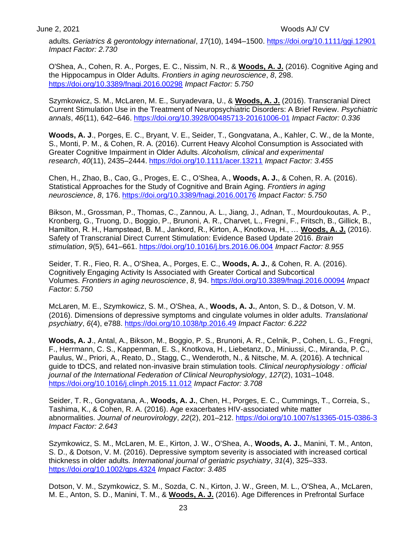adults. *Geriatrics & gerontology international*, *17*(10), 1494–1500.<https://doi.org/10.1111/ggi.12901> *Impact Factor: 2.730*

O'Shea, A., Cohen, R. A., Porges, E. C., Nissim, N. R., & **Woods, A. J.** (2016). Cognitive Aging and the Hippocampus in Older Adults. *Frontiers in aging neuroscience*, *8*, 298. <https://doi.org/10.3389/fnagi.2016.00298> *Impact Factor: 5.750*

Szymkowicz, S. M., McLaren, M. E., Suryadevara, U., & **Woods, A. J.** (2016). Transcranial Direct Current Stimulation Use in the Treatment of Neuropsychiatric Disorders: A Brief Review. *Psychiatric annals*, *46*(11), 642–646.<https://doi.org/10.3928/00485713-20161006-01> *Impact Factor: 0.336*

**Woods, A. J**., Porges, E. C., Bryant, V. E., Seider, T., Gongvatana, A., Kahler, C. W., de la Monte, S., Monti, P. M., & Cohen, R. A. (2016). Current Heavy Alcohol Consumption is Associated with Greater Cognitive Impairment in Older Adults. *Alcoholism, clinical and experimental research*, *40*(11), 2435–2444.<https://doi.org/10.1111/acer.13211> *Impact Factor: 3.455*

Chen, H., Zhao, B., Cao, G., Proges, E. C., O'Shea, A., **Woods, A. J.**, & Cohen, R. A. (2016). Statistical Approaches for the Study of Cognitive and Brain Aging. *Frontiers in aging neuroscience*, *8*, 176.<https://doi.org/10.3389/fnagi.2016.00176> *Impact Factor: 5.750*

Bikson, M., Grossman, P., Thomas, C., Zannou, A. L., Jiang, J., Adnan, T., Mourdoukoutas, A. P., Kronberg, G., Truong, D., Boggio, P., Brunoni, A. R., Charvet, L., Fregni, F., Fritsch, B., Gillick, B., Hamilton, R. H., Hampstead, B. M., Jankord, R., Kirton, A., Knotkova, H., … **Woods, A. J.** (2016). Safety of Transcranial Direct Current Stimulation: Evidence Based Update 2016. *Brain stimulation*, *9*(5), 641–661.<https://doi.org/10.1016/j.brs.2016.06.004> *Impact Factor: 8.955*

Seider, T. R., Fieo, R. A., O'Shea, A., Porges, E. C., **Woods, A. J.**, & Cohen, R. A. (2016). Cognitively Engaging Activity Is Associated with Greater Cortical and Subcortical Volumes. *Frontiers in aging neuroscience*, *8*, 94.<https://doi.org/10.3389/fnagi.2016.00094> *Impact Factor: 5.750*

McLaren, M. E., Szymkowicz, S. M., O'Shea, A., **Woods, A. J.**, Anton, S. D., & Dotson, V. M. (2016). Dimensions of depressive symptoms and cingulate volumes in older adults. *Translational psychiatry*, *6*(4), e788.<https://doi.org/10.1038/tp.2016.49> *Impact Factor: 6.222*

**Woods, A. J**., Antal, A., Bikson, M., Boggio, P. S., Brunoni, A. R., Celnik, P., Cohen, L. G., Fregni, F., Herrmann, C. S., Kappenman, E. S., Knotkova, H., Liebetanz, D., Miniussi, C., Miranda, P. C., Paulus, W., Priori, A., Reato, D., Stagg, C., Wenderoth, N., & Nitsche, M. A. (2016). A technical guide to tDCS, and related non-invasive brain stimulation tools. *Clinical neurophysiology : official journal of the International Federation of Clinical Neurophysiology*, *127*(2), 1031–1048. <https://doi.org/10.1016/j.clinph.2015.11.012> *Impact Factor: 3.708*

Seider, T. R., Gongvatana, A., **Woods, A. J.**, Chen, H., Porges, E. C., Cummings, T., Correia, S., Tashima, K., & Cohen, R. A. (2016). Age exacerbates HIV-associated white matter abnormalities. *Journal of neurovirology*, *22*(2), 201–212.<https://doi.org/10.1007/s13365-015-0386-3> *Impact Factor: 2.643*

Szymkowicz, S. M., McLaren, M. E., Kirton, J. W., O'Shea, A., **Woods, A. J.**, Manini, T. M., Anton, S. D., & Dotson, V. M. (2016). Depressive symptom severity is associated with increased cortical thickness in older adults. *International journal of geriatric psychiatry*, *31*(4), 325–333. <https://doi.org/10.1002/gps.4324> *Impact Factor: 3.485*

Dotson, V. M., Szymkowicz, S. M., Sozda, C. N., Kirton, J. W., Green, M. L., O'Shea, A., McLaren, M. E., Anton, S. D., Manini, T. M., & **Woods, A. J.** (2016). Age Differences in Prefrontal Surface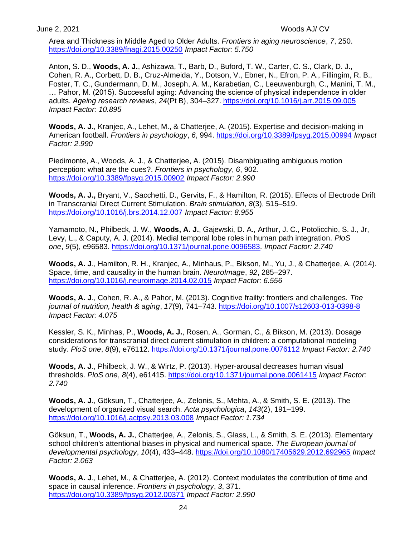Area and Thickness in Middle Aged to Older Adults. *Frontiers in aging neuroscience*, *7*, 250. <https://doi.org/10.3389/fnagi.2015.00250> *Impact Factor: 5.750*

Anton, S. D., **Woods, A. J.**, Ashizawa, T., Barb, D., Buford, T. W., Carter, C. S., Clark, D. J., Cohen, R. A., Corbett, D. B., Cruz-Almeida, Y., Dotson, V., Ebner, N., Efron, P. A., Fillingim, R. B., Foster, T. C., Gundermann, D. M., Joseph, A. M., Karabetian, C., Leeuwenburgh, C., Manini, T. M., … Pahor, M. (2015). Successful aging: Advancing the science of physical independence in older adults. *Ageing research reviews*, *24*(Pt B), 304–327.<https://doi.org/10.1016/j.arr.2015.09.005> *Impact Factor: 10.895*

**Woods, A. J.**, Kranjec, A., Lehet, M., & Chatterjee, A. (2015). Expertise and decision-making in American football. *Frontiers in psychology*, *6*, 994.<https://doi.org/10.3389/fpsyg.2015.00994> *Impact Factor: 2.990*

Piedimonte, A., Woods, A. J., & Chatterjee, A. (2015). Disambiguating ambiguous motion perception: what are the cues?. *Frontiers in psychology*, *6*, 902. <https://doi.org/10.3389/fpsyg.2015.00902> *Impact Factor: 2.990*

**Woods, A. J.,** Bryant, V., Sacchetti, D., Gervits, F., & Hamilton, R. (2015). Effects of Electrode Drift in Transcranial Direct Current Stimulation. *Brain stimulation*, *8*(3), 515–519. <https://doi.org/10.1016/j.brs.2014.12.007> *Impact Factor: 8.955*

Yamamoto, N., Philbeck, J. W., **Woods, A. J.**, Gajewski, D. A., Arthur, J. C., Potolicchio, S. J., Jr, Levy, L., & Caputy, A. J. (2014). Medial temporal lobe roles in human path integration. *PloS one*, *9*(5), e96583.<https://doi.org/10.1371/journal.pone.0096583>*. Impact Factor: 2.740*

**Woods, A. J**., Hamilton, R. H., Kranjec, A., Minhaus, P., Bikson, M., Yu, J., & Chatterjee, A. (2014). Space, time, and causality in the human brain. *NeuroImage*, *92*, 285–297. <https://doi.org/10.1016/j.neuroimage.2014.02.015> *Impact Factor: 6.556*

**Woods, A. J**., Cohen, R. A., & Pahor, M. (2013). Cognitive frailty: frontiers and challenges. *The journal of nutrition, health & aging*, *17*(9), 741–743.<https://doi.org/10.1007/s12603-013-0398-8> *Impact Factor: 4.075*

Kessler, S. K., Minhas, P., **Woods, A. J.**, Rosen, A., Gorman, C., & Bikson, M. (2013). Dosage considerations for transcranial direct current stimulation in children: a computational modeling study. *PloS one*, *8*(9), e76112.<https://doi.org/10.1371/journal.pone.0076112> *Impact Factor: 2.740*

**Woods, A. J**., Philbeck, J. W., & Wirtz, P. (2013). Hyper-arousal decreases human visual thresholds. *PloS one*, *8*(4), e61415.<https://doi.org/10.1371/journal.pone.0061415> *Impact Factor: 2.740*

**Woods, A. J**., Göksun, T., Chatterjee, A., Zelonis, S., Mehta, A., & Smith, S. E. (2013). The development of organized visual search. *Acta psychologica*, *143*(2), 191–199. <https://doi.org/10.1016/j.actpsy.2013.03.008> *Impact Factor: 1.734*

Göksun, T., **Woods, A. J.**, Chatterjee, A., Zelonis, S., Glass, L., & Smith, S. E. (2013). Elementary school children's attentional biases in physical and numerical space. *The European journal of developmental psychology*, *10*(4), 433–448.<https://doi.org/10.1080/17405629.2012.692965> *Impact Factor: 2.063*

**Woods, A. J**., Lehet, M., & Chatterjee, A. (2012). Context modulates the contribution of time and space in causal inference. *Frontiers in psychology*, *3*, 371. <https://doi.org/10.3389/fpsyg.2012.00371> *Impact Factor: 2.990*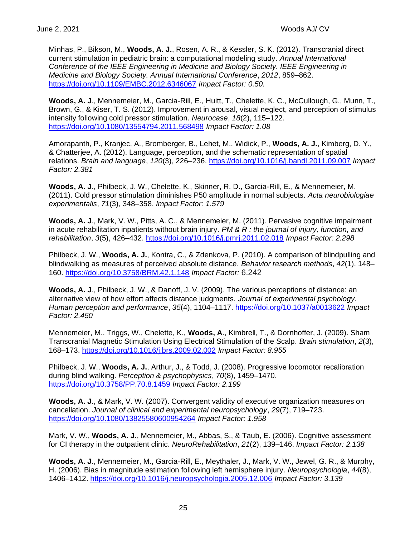Minhas, P., Bikson, M., **Woods, A. J.**, Rosen, A. R., & Kessler, S. K. (2012). Transcranial direct current stimulation in pediatric brain: a computational modeling study. *Annual International Conference of the IEEE Engineering in Medicine and Biology Society. IEEE Engineering in Medicine and Biology Society. Annual International Conference*, *2012*, 859–862. <https://doi.org/10.1109/EMBC.2012.6346067> *Impact Factor: 0.50.*

**Woods, A. J**., Mennemeier, M., Garcia-Rill, E., Huitt, T., Chelette, K. C., McCullough, G., Munn, T., Brown, G., & Kiser, T. S. (2012). Improvement in arousal, visual neglect, and perception of stimulus intensity following cold pressor stimulation. *Neurocase*, *18*(2), 115–122. <https://doi.org/10.1080/13554794.2011.568498> *Impact Factor: 1.08*

Amorapanth, P., Kranjec, A., Bromberger, B., Lehet, M., Widick, P., **Woods, A. J.**, Kimberg, D. Y., & Chatterjee, A. (2012). Language, perception, and the schematic representation of spatial relations. *Brain and language*, *120*(3), 226–236.<https://doi.org/10.1016/j.bandl.2011.09.007> *Impact Factor: 2.381*

**Woods, A. J**., Philbeck, J. W., Chelette, K., Skinner, R. D., Garcia-Rill, E., & Mennemeier, M. (2011). Cold pressor stimulation diminishes P50 amplitude in normal subjects. *Acta neurobiologiae experimentalis*, *71*(3), 348–358. *Impact Factor: 1.579*

**Woods, A. J**., Mark, V. W., Pitts, A. C., & Mennemeier, M. (2011). Pervasive cognitive impairment in acute rehabilitation inpatients without brain injury. *PM & R : the journal of injury, function, and rehabilitation*, *3*(5), 426–432.<https://doi.org/10.1016/j.pmrj.2011.02.018> *Impact Factor: 2.298*

Philbeck, J. W., **Woods, A. J.**, Kontra, C., & Zdenkova, P. (2010). A comparison of blindpulling and blindwalking as measures of perceived absolute distance. *Behavior research methods*, *42*(1), 148– 160.<https://doi.org/10.3758/BRM.42.1.148> *Impact Factor:* 6.242

**Woods, A. J**., Philbeck, J. W., & Danoff, J. V. (2009). The various perceptions of distance: an alternative view of how effort affects distance judgments. *Journal of experimental psychology. Human perception and performance*, *35*(4), 1104–1117.<https://doi.org/10.1037/a0013622> *Impact Factor: 2.450*

Mennemeier, M., Triggs, W., Chelette, K., **Woods, A**., Kimbrell, T., & Dornhoffer, J. (2009). Sham Transcranial Magnetic Stimulation Using Electrical Stimulation of the Scalp. *Brain stimulation*, *2*(3), 168–173.<https://doi.org/10.1016/j.brs.2009.02.002> *Impact Factor: 8.955*

Philbeck, J. W., **Woods, A. J.**, Arthur, J., & Todd, J. (2008). Progressive locomotor recalibration during blind walking. *Perception & psychophysics*, *70*(8), 1459–1470. <https://doi.org/10.3758/PP.70.8.1459> *Impact Factor: 2.199*

**Woods, A. J**., & Mark, V. W. (2007). Convergent validity of executive organization measures on cancellation. *Journal of clinical and experimental neuropsychology*, *29*(7), 719–723. <https://doi.org/10.1080/13825580600954264> *Impact Factor: 1.958*

Mark, V. W., **Woods, A. J.**, Mennemeier, M., Abbas, S., & Taub, E. (2006). Cognitive assessment for CI therapy in the outpatient clinic. *NeuroRehabilitation*, *21*(2), 139–146. *Impact Factor: 2.138*

**Woods, A. J**., Mennemeier, M., Garcia-Rill, E., Meythaler, J., Mark, V. W., Jewel, G. R., & Murphy, H. (2006). Bias in magnitude estimation following left hemisphere injury. *Neuropsychologia*, *44*(8), 1406–1412.<https://doi.org/10.1016/j.neuropsychologia.2005.12.006> *Impact Factor: 3.139*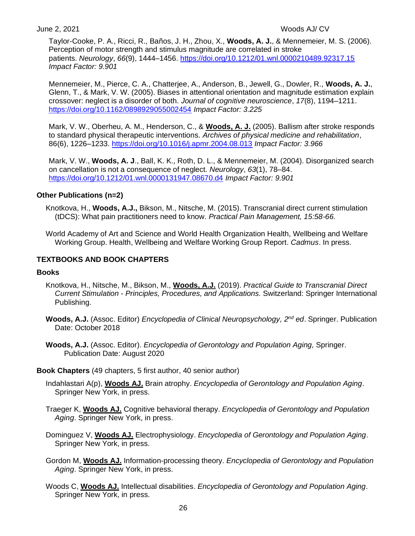Taylor-Cooke, P. A., Ricci, R., Baños, J. H., Zhou, X., **Woods, A. J.**, & Mennemeier, M. S. (2006). Perception of motor strength and stimulus magnitude are correlated in stroke patients. *Neurology*, *66*(9), 1444–1456.<https://doi.org/10.1212/01.wnl.0000210489.92317.15> *Impact Factor: 9.901*

Mennemeier, M., Pierce, C. A., Chatterjee, A., Anderson, B., Jewell, G., Dowler, R., **Woods, A. J.**, Glenn, T., & Mark, V. W. (2005). Biases in attentional orientation and magnitude estimation explain crossover: neglect is a disorder of both. *Journal of cognitive neuroscience*, *17*(8), 1194–1211. <https://doi.org/10.1162/0898929055002454> *Impact Factor: 3.225*

Mark, V. W., Oberheu, A. M., Henderson, C., & **Woods, A. J.** (2005). Ballism after stroke responds to standard physical therapeutic interventions. *Archives of physical medicine and rehabilitation*, 86(6), 1226–1233.<https://doi.org/10.1016/j.apmr.2004.08.013> *Impact Factor: 3.966*

Mark, V. W., **Woods, A. J**., Ball, K. K., Roth, D. L., & Mennemeier, M. (2004). Disorganized search on cancellation is not a consequence of neglect. *Neurology*, *63*(1), 78–84. <https://doi.org/10.1212/01.wnl.0000131947.08670.d4> *Impact Factor: 9.901*

# **Other Publications (n=2)**

Knotkova, H., **Woods, A.J.,** Bikson, M., Nitsche, M. (2015). Transcranial direct current stimulation (tDCS): What pain practitioners need to know. *Practical Pain Management, 15:58-66.*

World Academy of Art and Science and World Health Organization Health, Wellbeing and Welfare Working Group. Health, Wellbeing and Welfare Working Group Report. *Cadmus*. In press.

# **TEXTBOOKS AND BOOK CHAPTERS**

#### **Books**

- Knotkova, H., Nitsche, M., Bikson, M., **Woods, A.J.** (2019). *Practical Guide to Transcranial Direct Current Stimulation - Principles, Procedures, and Applications.* Switzerland: Springer International Publishing.
- **Woods, A.J.** (Assoc. Editor) *Encyclopedia of Clinical Neuropsychology, 2nd ed*. Springer. Publication Date: October 2018
- **Woods, A.J.** (Assoc. Editor). *Encyclopedia of Gerontology and Population Aging,* Springer. Publication Date: August 2020

# **Book Chapters** (49 chapters, 5 first author, 40 senior author)

- Indahlastari A(p), **Woods AJ.** Brain atrophy. *Encyclopedia of Gerontology and Population Aging*. Springer New York, in press.
- Traeger K, **Woods AJ.** Cognitive behavioral therapy. *Encyclopedia of Gerontology and Population Aging*. Springer New York, in press.
- Dominguez V, **Woods AJ.** Electrophysiology. *Encyclopedia of Gerontology and Population Aging*. Springer New York, in press.
- Gordon M, **Woods AJ.** Information-processing theory. *Encyclopedia of Gerontology and Population Aging*. Springer New York, in press.
- Woods C, **Woods AJ.** Intellectual disabilities. *Encyclopedia of Gerontology and Population Aging*. Springer New York, in press.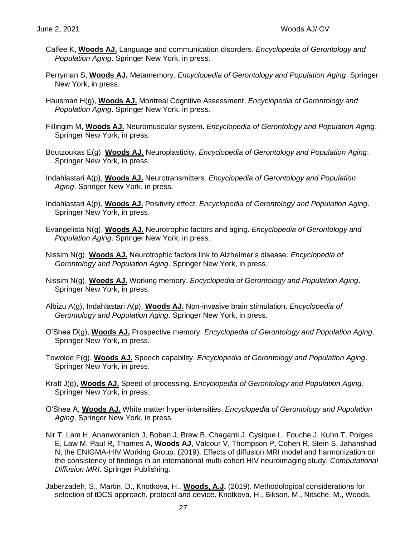- Calfee K, **Woods AJ.** Language and communication disorders. *Encyclopedia of Gerontology and Population Aging*. Springer New York, in press.
- Perryman S, **Woods AJ.** Metamemory. *Encyclopedia of Gerontology and Population Aging*. Springer New York, in press.
- Hausman H(g), **Woods AJ.** Montreal Cognitive Assessment. *Encyclopedia of Gerontology and Population Aging*. Springer New York, in press.
- Fillingim M, **Woods AJ.** Neuromuscular system. *Encyclopedia of Gerontology and Population Aging*. Springer New York, in press.
- Boutzoukas E(g), **Woods AJ.** Neuroplasticity. *Encyclopedia of Gerontology and Population Aging*. Springer New York, in press.
- Indahlastari A(p), **Woods AJ.** Neurotransmitters. *Encyclopedia of Gerontology and Population Aging*. Springer New York, in press.
- Indahlastari A(p), **Woods AJ.** Positivity effect. *Encyclopedia of Gerontology and Population Aging*. Springer New York, in press.
- Evangelista N(g), **Woods AJ.** Neurotrophic factors and aging. *Encyclopedia of Gerontology and Population Aging*. Springer New York, in press.
- Nissim N(g), **Woods AJ.** Neurotrophic factors link to Alzheimer's disease. *Encyclopedia of Gerontology and Population Aging*. Springer New York, in press.
- Nissim N(g), **Woods AJ.** Working memory. *Encyclopedia of Gerontology and Population Aging*. Springer New York, in press.
- Albizu A(g), Indahlastari A(p), **Woods AJ.** Non-invasive brain stimulation. *Encyclopedia of Gerontology and Population Aging*. Springer New York, in press.
- O'Shea D(g), **Woods AJ.** Prospective memory. *Encyclopedia of Gerontology and Population Aging*. Springer New York, in press.
- Tewolde F(g), **Woods AJ.** Speech capability. *Encyclopedia of Gerontology and Population Aging*. Springer New York, in press.
- Kraft J(g), **Woods AJ.** Speed of processing. *Encyclopedia of Gerontology and Population Aging*. Springer New York, in press.
- O'Shea A, **Woods AJ.** White matter hyper-intensities. *Encyclopedia of Gerontology and Population Aging*. Springer New York, in press.
- Nir T, Lam H, Ananworanich J, Boban J, Brew B, Chaganti J, Cysique L, Fouche J, Kuhn T, Porges E, Law M, Paul R, Thames A, **Woods AJ**, Valcour V, Thompson P, Cohen R, Stein S, Jahanshad N, the ENIGMA-HIV Working Group. (2019). Effects of diffusion MRI model and harmonization on the consistency of findings in an international multi-cohort HIV neuroimaging study*. Computational Diffusion MRI*. Springer Publishing.
- Jaberzadeh, S., Martin, D., Knotkova, H., **Woods, A.J.** (2019). Methodological considerations for selection of tDCS approach, protocol and device. Knotkova, H., Bikson, M., Nitsche, M., Woods,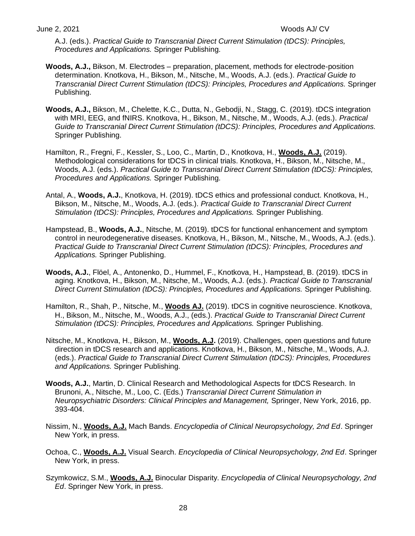A.J. (eds.). *Practical Guide to Transcranial Direct Current Stimulation (tDCS): Principles, Procedures and Applications.* Springer Publishing.

- **Woods, A.J.,** Bikson, M. Electrodes preparation, placement, methods for electrode-position determination. Knotkova, H., Bikson, M., Nitsche, M., Woods, A.J. (eds.). *Practical Guide to Transcranial Direct Current Stimulation (tDCS): Principles, Procedures and Applications.* Springer Publishing.
- **Woods, A.J.,** Bikson, M., Chelette, K.C., Dutta, N., Gebodji, N., Stagg, C. (2019). tDCS integration with MRI, EEG, and fNIRS. Knotkova, H., Bikson, M., Nitsche, M., Woods, A.J. (eds.). *Practical Guide to Transcranial Direct Current Stimulation (tDCS): Principles, Procedures and Applications.* Springer Publishing.
- Hamilton, R., Fregni, F., Kessler, S., Loo, C., Martin, D., Knotkova, H., **Woods, A.J.** (2019). Methodological considerations for tDCS in clinical trials. Knotkova, H., Bikson, M., Nitsche, M., Woods, A.J. (eds.). *Practical Guide to Transcranial Direct Current Stimulation (tDCS): Principles, Procedures and Applications.* Springer Publishing.
- Antal, A., **Woods, A.J.**, Knotkova, H. (2019). tDCS ethics and professional conduct. Knotkova, H., Bikson, M., Nitsche, M., Woods, A.J. (eds.). *Practical Guide to Transcranial Direct Current Stimulation (tDCS): Principles, Procedures and Applications.* Springer Publishing.
- Hampstead, B., **Woods, A.J.**, Nitsche, M. (2019). tDCS for functional enhancement and symptom control in neurodegenerative diseases. Knotkova, H., Bikson, M., Nitsche, M., Woods, A.J. (eds.). *Practical Guide to Transcranial Direct Current Stimulation (tDCS): Principles, Procedures and Applications.* Springer Publishing.
- **Woods, A.J.**, Flöel, A., Antonenko, D., Hummel, F., Knotkova, H., Hampstead, B. (2019). tDCS in aging. Knotkova, H., Bikson, M., Nitsche, M., Woods, A.J. (eds.). *Practical Guide to Transcranial Direct Current Stimulation (tDCS): Principles, Procedures and Applications.* Springer Publishing.
- Hamilton, R., Shah, P., Nitsche, M., **Woods AJ.** (2019). tDCS in cognitive neuroscience. Knotkova, H., Bikson, M., Nitsche, M., Woods, A.J., (eds.). *Practical Guide to Transcranial Direct Current Stimulation (tDCS): Principles, Procedures and Applications.* Springer Publishing.
- Nitsche, M., Knotkova, H., Bikson, M., **Woods, A.J.** (2019). Challenges, open questions and future direction in tDCS research and applications. Knotkova, H., Bikson, M., Nitsche, M., Woods, A.J. (eds.). *Practical Guide to Transcranial Direct Current Stimulation (tDCS): Principles, Procedures and Applications.* Springer Publishing.
- **Woods, A.J.**, Martin, D. Clinical Research and Methodological Aspects for tDCS Research. In Brunoni, A., Nitsche, M., Loo, C. (Eds.) *Transcranial Direct Current Stimulation in Neuropsychiatric Disorders: Clinical Principles and Management,* Springer, New York, 2016, pp. 393-404.
- Nissim, N., **Woods, A.J.** Mach Bands. *Encyclopedia of Clinical Neuropsychology, 2nd Ed*. Springer New York, in press.
- Ochoa, C., **Woods, A.J.** Visual Search. *Encyclopedia of Clinical Neuropsychology, 2nd Ed*. Springer New York, in press.
- Szymkowicz, S.M., **Woods, A.J.** Binocular Disparity. *Encyclopedia of Clinical Neuropsychology, 2nd Ed*. Springer New York, in press.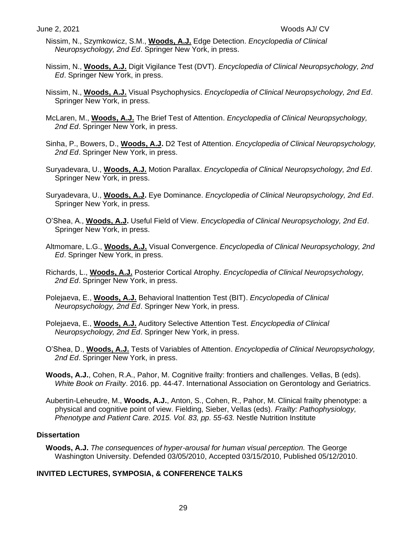- Nissim, N., Szymkowicz, S.M., **Woods, A.J.** Edge Detection. *Encyclopedia of Clinical Neuropsychology, 2nd Ed*. Springer New York, in press.
- Nissim, N., **Woods, A.J.** Digit Vigilance Test (DVT). *Encyclopedia of Clinical Neuropsychology, 2nd Ed*. Springer New York, in press.
- Nissim, N., **Woods, A.J.** Visual Psychophysics. *Encyclopedia of Clinical Neuropsychology, 2nd Ed*. Springer New York, in press.
- McLaren, M., **Woods, A.J.** The Brief Test of Attention. *Encyclopedia of Clinical Neuropsychology, 2nd Ed*. Springer New York, in press.
- Sinha, P., Bowers, D., **Woods, A.J.** D2 Test of Attention. *Encyclopedia of Clinical Neuropsychology, 2nd Ed*. Springer New York, in press.
- Suryadevara, U., **Woods, A.J.** Motion Parallax. *Encyclopedia of Clinical Neuropsychology, 2nd Ed*. Springer New York, in press.
- Suryadevara, U., **Woods, A.J.** Eye Dominance. *Encyclopedia of Clinical Neuropsychology, 2nd Ed*. Springer New York, in press.
- O'Shea, A., **Woods, A.J.** Useful Field of View. *Encyclopedia of Clinical Neuropsychology, 2nd Ed*. Springer New York, in press.
- Altmomare, L.G., **Woods, A.J.** Visual Convergence. *Encyclopedia of Clinical Neuropsychology, 2nd Ed*. Springer New York, in press.
- Richards, L., **Woods, A.J.** Posterior Cortical Atrophy. *Encyclopedia of Clinical Neuropsychology, 2nd Ed*. Springer New York, in press.
- Polejaeva, E., **Woods, A.J.** Behavioral Inattention Test (BIT). *Encyclopedia of Clinical Neuropsychology, 2nd Ed*. Springer New York, in press.
- Polejaeva, E., **Woods, A.J.** Auditory Selective Attention Test. *Encyclopedia of Clinical Neuropsychology, 2nd Ed*. Springer New York, in press.
- O'Shea, D., **Woods, A.J.** Tests of Variables of Attention. *Encyclopedia of Clinical Neuropsychology, 2nd Ed*. Springer New York, in press.
- **Woods, A.J.**, Cohen, R.A., Pahor, M. Cognitive frailty: frontiers and challenges. Vellas, B (eds). *White Book on Frailty*. 2016. pp. 44-47. International Association on Gerontology and Geriatrics.
- Aubertin-Leheudre, M., **Woods, A.J.**, Anton, S., Cohen, R., Pahor, M. Clinical frailty phenotype: a physical and cognitive point of view. Fielding, Sieber, Vellas (eds). *Frailty: Pathophysiology, Phenotype and Patient Care. 2015. Vol. 83, pp. 55-63.* Nestle Nutrition Institute

# **Dissertation**

**Woods, A.J.** *The consequences of hyper-arousal for human visual perception.* The George Washington University. Defended 03/05/2010, Accepted 03/15/2010, Published 05/12/2010.

# **INVITED LECTURES, SYMPOSIA, & CONFERENCE TALKS**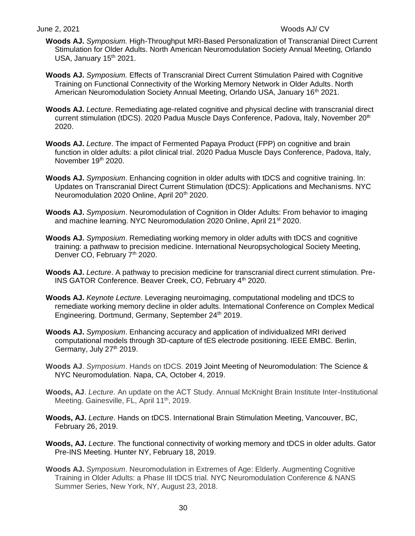- **Woods AJ.** *Symposium.* High-Throughput MRI-Based Personalization of Transcranial Direct Current Stimulation for Older Adults. North American Neuromodulation Society Annual Meeting, Orlando USA, January  $15<sup>th</sup> 2021$ .
- **Woods AJ.** *Symposium.* Effects of Transcranial Direct Current Stimulation Paired with Cognitive Training on Functional Connectivity of the Working Memory Network in Older Adults. North American Neuromodulation Society Annual Meeting, Orlando USA, January 16<sup>th</sup> 2021.
- **Woods AJ.** *Lecture*. Remediating age-related cognitive and physical decline with transcranial direct current stimulation (tDCS). 2020 Padua Muscle Days Conference, Padova, Italy, November 20<sup>th</sup> 2020.
- **Woods AJ.** *Lecture*. The impact of Fermented Papaya Product (FPP) on cognitive and brain function in older adults: a pilot clinical trial. 2020 Padua Muscle Days Conference, Padova, Italy, November 19th 2020.
- **Woods AJ.** *Symposium*. Enhancing cognition in older adults with tDCS and cognitive training. In: Updates on Transcranial Direct Current Stimulation (tDCS): Applications and Mechanisms. NYC Neuromodulation 2020 Online, April 20<sup>th</sup> 2020.
- **Woods AJ.** *Symposium*. Neuromodulation of Cognition in Older Adults: From behavior to imaging and machine learning. NYC Neuromodulation 2020 Online, April 21<sup>st</sup> 2020.
- **Woods AJ.** *Symposium*. Remediating working memory in older adults with tDCS and cognitive training: a pathwaw to precision medicine. International Neuropsychological Society Meeting, Denver CO, February 7<sup>th</sup> 2020.
- **Woods AJ.** *Lecture*. A pathway to precision medicine for transcranial direct current stimulation. Pre-INS GATOR Conference. Beaver Creek, CO, February 4<sup>th</sup> 2020.
- **Woods AJ.** *Keynote Lecture.* Leveraging neuroimaging, computational modeling and tDCS to remediate working memory decline in older adults. International Conference on Complex Medical Engineering. Dortmund, Germany, September 24<sup>th</sup> 2019.
- **Woods AJ.** *Symposium*. Enhancing accuracy and application of individualized MRI derived computational models through 3D-capture of tES electrode positioning. IEEE EMBC. Berlin, Germany, July  $27<sup>th</sup> 2019$ .
- **Woods AJ**. *Symposium*. Hands on tDCS. 2019 Joint Meeting of Neuromodulation: The Science & NYC Neuromodulation. Napa, CA, October 4, 2019.
- **Woods, AJ**. *Lecture*. An update on the ACT Study. Annual McKnight Brain Institute Inter-Institutional Meeting. Gainesville, FL, April 11<sup>th</sup>, 2019.
- **Woods, AJ.** *Lecture*. Hands on tDCS. International Brain Stimulation Meeting, Vancouver, BC, February 26, 2019.
- **Woods, AJ.** *Lecture*. The functional connectivity of working memory and tDCS in older adults. Gator Pre-INS Meeting. Hunter NY, February 18, 2019.
- **Woods AJ.** *Symposium*. Neuromodulation in Extremes of Age: Elderly. Augmenting Cognitive Training in Older Adults: a Phase III tDCS trial. NYC Neuromodulation Conference & NANS Summer Series, New York, NY, August 23, 2018.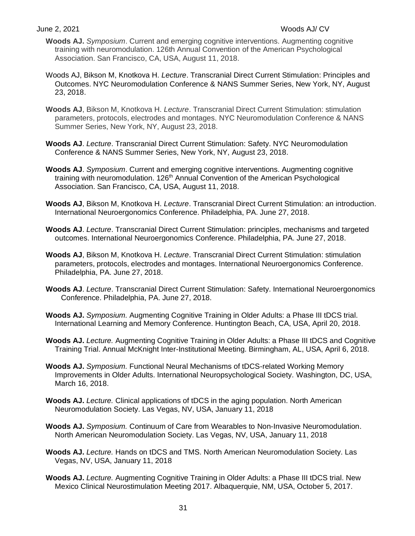- **Woods AJ.** *Symposium*. Current and emerging cognitive interventions. Augmenting cognitive training with neuromodulation. 126th Annual Convention of the American Psychological Association. San Francisco, CA, USA, August 11, 2018.
- Woods AJ, Bikson M, Knotkova H. *Lecture*. Transcranial Direct Current Stimulation: Principles and Outcomes. NYC Neuromodulation Conference & NANS Summer Series, New York, NY, August 23, 2018.
- **Woods AJ**, Bikson M, Knotkova H. *Lecture*. Transcranial Direct Current Stimulation: stimulation parameters, protocols, electrodes and montages. NYC Neuromodulation Conference & NANS Summer Series, New York, NY, August 23, 2018.
- **Woods AJ**. *Lecture*. Transcranial Direct Current Stimulation: Safety. NYC Neuromodulation Conference & NANS Summer Series, New York, NY, August 23, 2018.
- **Woods AJ**. *Symposium*. Current and emerging cognitive interventions. Augmenting cognitive training with neuromodulation. 126<sup>th</sup> Annual Convention of the American Psychological Association. San Francisco, CA, USA, August 11, 2018.
- **Woods AJ**, Bikson M, Knotkova H. *Lecture*. Transcranial Direct Current Stimulation: an introduction. International Neuroergonomics Conference. Philadelphia, PA. June 27, 2018.
- **Woods AJ**. *Lecture*. Transcranial Direct Current Stimulation: principles, mechanisms and targeted outcomes. International Neuroergonomics Conference. Philadelphia, PA. June 27, 2018.
- **Woods AJ**, Bikson M, Knotkova H. *Lecture*. Transcranial Direct Current Stimulation: stimulation parameters, protocols, electrodes and montages. International Neuroergonomics Conference. Philadelphia, PA. June 27, 2018.
- **Woods AJ**. *Lecture*. Transcranial Direct Current Stimulation: Safety. International Neuroergonomics Conference. Philadelphia, PA. June 27, 2018.
- **Woods AJ.** *Symposium.* Augmenting Cognitive Training in Older Adults: a Phase III tDCS trial. International Learning and Memory Conference. Huntington Beach, CA, USA, April 20, 2018.
- **Woods AJ.** *Lecture.* Augmenting Cognitive Training in Older Adults: a Phase III tDCS and Cognitive Training Trial. Annual McKnight Inter-Institutional Meeting. Birmingham, AL, USA, April 6, 2018.
- **Woods AJ.** *Symposium.* Functional Neural Mechanisms of tDCS-related Working Memory Improvements in Older Adults. International Neuropsychological Society. Washington, DC, USA, March 16, 2018.
- **Woods AJ.** *Lecture.* Clinical applications of tDCS in the aging population. North American Neuromodulation Society. Las Vegas, NV, USA, January 11, 2018
- **Woods AJ.** *Symposium.* Continuum of Care from Wearables to Non-Invasive Neuromodulation. North American Neuromodulation Society. Las Vegas, NV, USA, January 11, 2018
- **Woods AJ.** *Lecture.* Hands on tDCS and TMS. North American Neuromodulation Society. Las Vegas, NV, USA, January 11, 2018
- **Woods AJ.** *Lecture.* Augmenting Cognitive Training in Older Adults: a Phase III tDCS trial. New Mexico Clinical Neurostimulation Meeting 2017. Albaquerquie, NM, USA, October 5, 2017.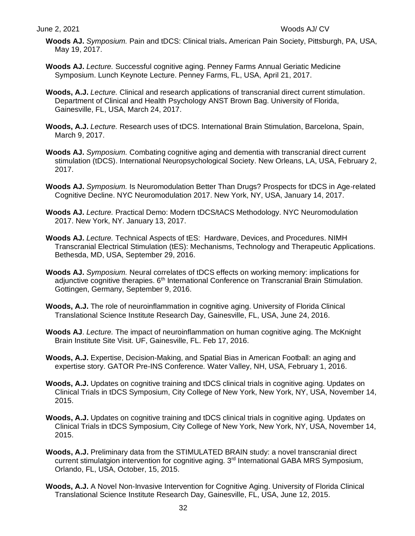- **Woods AJ.** *Symposium.* Pain and tDCS: Clinical trials**.** American Pain Society, Pittsburgh, PA, USA, May 19, 2017.
- **Woods AJ.** *Lecture.* Successful cognitive aging. Penney Farms Annual Geriatic Medicine Symposium. Lunch Keynote Lecture. Penney Farms, FL, USA, April 21, 2017.
- **Woods, A.J.** *Lecture.* Clinical and research applications of transcranial direct current stimulation. Department of Clinical and Health Psychology ANST Brown Bag. University of Florida, Gainesville, FL, USA, March 24, 2017.
- **Woods, A.J.** *Lecture.* Research uses of tDCS. International Brain Stimulation, Barcelona, Spain, March 9, 2017.
- **Woods AJ.** *Symposium.* Combating cognitive aging and dementia with transcranial direct current stimulation (tDCS). International Neuropsychological Society. New Orleans, LA, USA, February 2, 2017.
- **Woods AJ.** *Symposium.* Is Neuromodulation Better Than Drugs? Prospects for tDCS in Age-related Cognitive Decline. NYC Neuromodulation 2017. New York, NY, USA, January 14, 2017.
- **Woods AJ.** *Lecture.* Practical Demo: Modern tDCS/tACS Methodology. NYC Neuromodulation 2017. New York, NY. January 13, 2017.
- **Woods AJ.** *Lecture.* Technical Aspects of tES: Hardware, Devices, and Procedures. NIMH Transcranial Electrical Stimulation (tES): Mechanisms, Technology and Therapeutic Applications. Bethesda, MD, USA, September 29, 2016.
- **Woods AJ.** *Symposium.* Neural correlates of tDCS effects on working memory: implications for adjunctive cognitive therapies. 6<sup>th</sup> International Conference on Transcranial Brain Stimulation. Gottingen, Germany, September 9, 2016.
- **Woods, A.J.** The role of neuroinflammation in cognitive aging. University of Florida Clinical Translational Science Institute Research Day, Gainesville, FL, USA, June 24, 2016.
- **Woods AJ**. *Lecture.* The impact of neuroinflammation on human cognitive aging. The McKnight Brain Institute Site Visit. UF, Gainesville, FL. Feb 17, 2016.
- **Woods, A.J.** Expertise, Decision-Making, and Spatial Bias in American Football: an aging and expertise story. GATOR Pre-INS Conference*.* Water Valley, NH, USA, February 1, 2016.
- **Woods, A.J.** Updates on cognitive training and tDCS clinical trials in cognitive aging. Updates on Clinical Trials in tDCS Symposium, City College of New York, New York, NY, USA, November 14, 2015.
- Woods, A.J. Updates on cognitive training and tDCS clinical trials in cognitive aging. Updates on Clinical Trials in tDCS Symposium, City College of New York, New York, NY, USA, November 14, 2015.
- **Woods, A.J.** Preliminary data from the STIMULATED BRAIN study: a novel transcranial direct current stimulatgion intervention for cognitive aging. 3<sup>rd</sup> International GABA MRS Symposium, Orlando, FL, USA, October, 15, 2015.
- **Woods, A.J.** A Novel Non-Invasive Intervention for Cognitive Aging. University of Florida Clinical Translational Science Institute Research Day, Gainesville, FL, USA, June 12, 2015.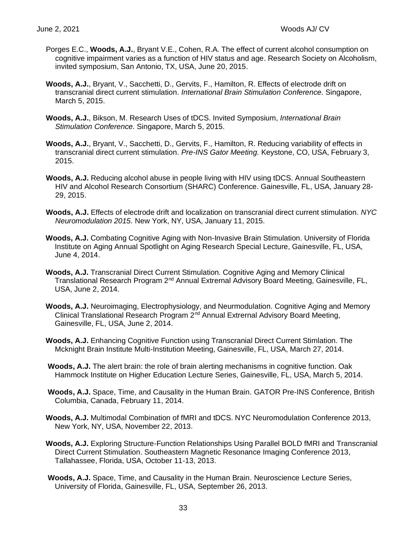- Porges E.C., **Woods, A.J.**, Bryant V.E., Cohen, R.A. The effect of current alcohol consumption on cognitive impairment varies as a function of HIV status and age. Research Society on Alcoholism, invited symposium, San Antonio, TX, USA, June 20, 2015.
- **Woods, A.J.**, Bryant, V., Sacchetti, D., Gervits, F., Hamilton, R. Effects of electrode drift on transcranial direct current stimulation. *International Brain Stimulation Conference.* Singapore, March 5, 2015.
- **Woods, A.J.**, Bikson, M. Research Uses of tDCS. Invited Symposium, *International Brain Stimulation Conference.* Singapore, March 5, 2015.
- **Woods, A.J.**, Bryant, V., Sacchetti, D., Gervits, F., Hamilton, R. Reducing variability of effects in transcranial direct current stimulation. *Pre-INS Gator Meeting.* Keystone, CO, USA, February 3, 2015.
- **Woods, A.J.** Reducing alcohol abuse in people living with HIV using tDCS. Annual Southeastern HIV and Alcohol Research Consortium (SHARC) Conference. Gainesville, FL, USA, January 28- 29, 2015.
- **Woods, A.J.** Effects of electrode drift and localization on transcranial direct current stimulation. *NYC Neuromodulation 2015.* New York, NY, USA, January 11, 2015.
- **Woods, A.J.** Combating Cognitive Aging with Non-Invasive Brain Stimulation. University of Florida Institute on Aging Annual Spotlight on Aging Research Special Lecture, Gainesville, FL, USA, June 4, 2014.
- **Woods, A.J.** Transcranial Direct Current Stimulation. Cognitive Aging and Memory Clinical Translational Research Program 2nd Annual Extrernal Advisory Board Meeting, Gainesville, FL, USA, June 2, 2014.
- **Woods, A.J.** Neuroimaging, Electrophysiology, and Neurmodulation. Cognitive Aging and Memory Clinical Translational Research Program  $2<sup>nd</sup>$  Annual Extrernal Advisory Board Meeting, Gainesville, FL, USA, June 2, 2014.
- **Woods, A.J.** Enhancing Cognitive Function using Transcranial Direct Current Stimlation. The Mcknight Brain Institute Multi-Institution Meeting, Gainesville, FL, USA, March 27, 2014.
- **Woods, A.J.** The alert brain: the role of brain alerting mechanisms in cognitive function. Oak Hammock Institute on Higher Education Lecture Series, Gainesville, FL, USA, March 5, 2014.
- **Woods, A.J.** Space, Time, and Causality in the Human Brain. GATOR Pre-INS Conference, British Columbia, Canada, February 11, 2014.
- **Woods, A.J.** Multimodal Combination of fMRI and tDCS. NYC Neuromodulation Conference 2013, New York, NY, USA, November 22, 2013.
- **Woods, A.J.** Exploring Structure-Function Relationships Using Parallel BOLD fMRI and Transcranial Direct Current Stimulation. Southeastern Magnetic Resonance Imaging Conference 2013, Tallahassee, Florida, USA, October 11-13, 2013.
- **Woods, A.J.** Space, Time, and Causality in the Human Brain. Neuroscience Lecture Series, University of Florida, Gainesville, FL, USA, September 26, 2013.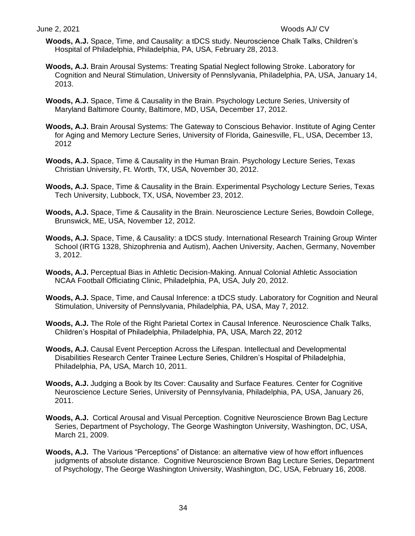- **Woods, A.J.** Space, Time, and Causality: a tDCS study. Neuroscience Chalk Talks, Children's Hospital of Philadelphia, Philadelphia, PA, USA, February 28, 2013.
- **Woods, A.J.** Brain Arousal Systems: Treating Spatial Neglect following Stroke. Laboratory for Cognition and Neural Stimulation, University of Pennslyvania, Philadelphia, PA, USA, January 14, 2013.
- **Woods, A.J.** Space, Time & Causality in the Brain. Psychology Lecture Series, University of Maryland Baltimore County, Baltimore, MD, USA, December 17, 2012.
- **Woods, A.J.** Brain Arousal Systems: The Gateway to Conscious Behavior. Institute of Aging Center for Aging and Memory Lecture Series, University of Florida, Gainesville, FL, USA, December 13, 2012
- **Woods, A.J.** Space, Time & Causality in the Human Brain. Psychology Lecture Series, Texas Christian University, Ft. Worth, TX, USA, November 30, 2012.
- **Woods, A.J.** Space, Time & Causality in the Brain. Experimental Psychology Lecture Series, Texas Tech University, Lubbock, TX, USA, November 23, 2012.
- **Woods, A.J.** Space, Time & Causality in the Brain. Neuroscience Lecture Series, Bowdoin College, Brunswick, ME, USA, November 12, 2012.
- **Woods, A.J.** Space, Time, & Causality: a tDCS study. International Research Training Group Winter School (IRTG 1328, Shizophrenia and Autism), Aachen University, Aachen, Germany, November 3, 2012.
- **Woods, A.J.** Perceptual Bias in Athletic Decision-Making. Annual Colonial Athletic Association NCAA Football Officiating Clinic, Philadelphia, PA, USA, July 20, 2012.
- **Woods, A.J.** Space, Time, and Causal Inference: a tDCS study. Laboratory for Cognition and Neural Stimulation, University of Pennslyvania, Philadelphia, PA, USA, May 7, 2012.
- **Woods, A.J.** The Role of the Right Parietal Cortex in Causal Inference. Neuroscience Chalk Talks, Children's Hospital of Philadelphia, Philadelphia, PA, USA, March 22, 2012
- **Woods, A.J.** Causal Event Perception Across the Lifespan. Intellectual and Developmental Disabilities Research Center Trainee Lecture Series, Children's Hospital of Philadelphia, Philadelphia, PA, USA, March 10, 2011.
- **Woods, A.J.** Judging a Book by Its Cover: Causality and Surface Features. Center for Cognitive Neuroscience Lecture Series, University of Pennsylvania, Philadelphia, PA, USA, January 26, 2011.
- **Woods, A.J.** Cortical Arousal and Visual Perception. Cognitive Neuroscience Brown Bag Lecture Series, Department of Psychology, The George Washington University, Washington, DC, USA, March 21, 2009.
- **Woods, A.J.** The Various "Perceptions" of Distance: an alternative view of how effort influences judgments of absolute distance. Cognitive Neuroscience Brown Bag Lecture Series, Department of Psychology, The George Washington University, Washington, DC, USA, February 16, 2008.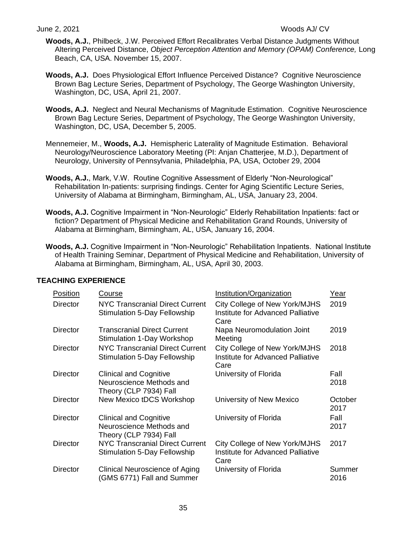- **Woods, A.J.**, Philbeck, J.W. Perceived Effort Recalibrates Verbal Distance Judgments Without Altering Perceived Distance, *Object Perception Attention and Memory (OPAM) Conference,* Long Beach, CA, USA. November 15, 2007.
- **Woods, A.J.** Does Physiological Effort Influence Perceived Distance? Cognitive Neuroscience Brown Bag Lecture Series, Department of Psychology, The George Washington University, Washington, DC, USA, April 21, 2007.
- **Woods, A.J.** Neglect and Neural Mechanisms of Magnitude Estimation. Cognitive Neuroscience Brown Bag Lecture Series, Department of Psychology, The George Washington University, Washington, DC, USA, December 5, 2005.
- Mennemeier, M., **Woods, A.J.** Hemispheric Laterality of Magnitude Estimation. Behavioral Neurology/Neuroscience Laboratory Meeting (PI: Anjan Chatterjee, M.D.), Department of Neurology, University of Pennsylvania, Philadelphia, PA, USA, October 29, 2004
- **Woods, A.J.**, Mark, V.W. Routine Cognitive Assessment of Elderly "Non-Neurological" Rehabilitation In-patients: surprising findings. Center for Aging Scientific Lecture Series, University of Alabama at Birmingham, Birmingham, AL, USA, January 23, 2004.
- **Woods, A.J.** Cognitive Impairment in "Non-Neurologic" Elderly Rehabilitation Inpatients: fact or fiction? Department of Physical Medicine and Rehabilitation Grand Rounds, University of Alabama at Birmingham, Birmingham, AL, USA, January 16, 2004.
- **Woods, A.J.** Cognitive Impairment in "Non-Neurologic" Rehabilitation Inpatients. National Institute of Health Training Seminar, Department of Physical Medicine and Rehabilitation, University of Alabama at Birmingham, Birmingham, AL, USA, April 30, 2003.

| Position        | Course                                                                              | Institution/Organization                                                   | Year            |
|-----------------|-------------------------------------------------------------------------------------|----------------------------------------------------------------------------|-----------------|
| <b>Director</b> | NYC Transcranial Direct Current<br><b>Stimulation 5-Day Fellowship</b>              | City College of New York/MJHS<br>Institute for Advanced Palliative<br>Care | 2019            |
| Director        | <b>Transcranial Direct Current</b><br>Stimulation 1-Day Workshop                    | Napa Neuromodulation Joint<br>Meeting                                      | 2019            |
| Director        | <b>NYC Transcranial Direct Current</b><br><b>Stimulation 5-Day Fellowship</b>       | City College of New York/MJHS<br>Institute for Advanced Palliative<br>Care | 2018            |
| <b>Director</b> | <b>Clinical and Cognitive</b><br>Neuroscience Methods and<br>Theory (CLP 7934) Fall | University of Florida                                                      | Fall<br>2018    |
| <b>Director</b> | <b>New Mexico tDCS Workshop</b>                                                     | University of New Mexico                                                   | October<br>2017 |
| <b>Director</b> | <b>Clinical and Cognitive</b><br>Neuroscience Methods and<br>Theory (CLP 7934) Fall | University of Florida                                                      | Fall<br>2017    |
| <b>Director</b> | <b>NYC Transcranial Direct Current</b><br><b>Stimulation 5-Day Fellowship</b>       | City College of New York/MJHS<br>Institute for Advanced Palliative<br>Care | 2017            |
| <b>Director</b> | Clinical Neuroscience of Aging<br>(GMS 6771) Fall and Summer                        | University of Florida                                                      | Summer<br>2016  |

# **TEACHING EXPERIENCE**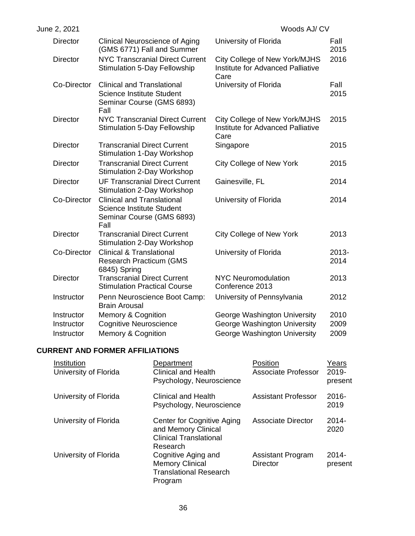| June 2, 2021    |                                                                                                            | Woods AJ/CV                                                                |                  |
|-----------------|------------------------------------------------------------------------------------------------------------|----------------------------------------------------------------------------|------------------|
| <b>Director</b> | Clinical Neuroscience of Aging<br>(GMS 6771) Fall and Summer                                               | University of Florida                                                      | Fall<br>2015     |
| <b>Director</b> | <b>NYC Transcranial Direct Current</b><br><b>Stimulation 5-Day Fellowship</b>                              | City College of New York/MJHS<br>Institute for Advanced Palliative<br>Care | 2016             |
| Co-Director     | <b>Clinical and Translational</b><br><b>Science Institute Student</b><br>Seminar Course (GMS 6893)<br>Fall | University of Florida                                                      | Fall<br>2015     |
| <b>Director</b> | <b>NYC Transcranial Direct Current</b><br><b>Stimulation 5-Day Fellowship</b>                              | City College of New York/MJHS<br>Institute for Advanced Palliative<br>Care | 2015             |
| <b>Director</b> | <b>Transcranial Direct Current</b><br>Stimulation 1-Day Workshop                                           | Singapore                                                                  | 2015             |
| <b>Director</b> | <b>Transcranial Direct Current</b><br>Stimulation 2-Day Workshop                                           | <b>City College of New York</b>                                            | 2015             |
| <b>Director</b> | <b>UF Transcranial Direct Current</b><br>Stimulation 2-Day Workshop                                        | Gainesville, FL                                                            | 2014             |
| Co-Director     | <b>Clinical and Translational</b><br><b>Science Institute Student</b><br>Seminar Course (GMS 6893)<br>Fall | University of Florida                                                      | 2014             |
| <b>Director</b> | <b>Transcranial Direct Current</b><br><b>Stimulation 2-Day Workshop</b>                                    | City College of New York                                                   | 2013             |
| Co-Director     | <b>Clinical &amp; Translational</b><br><b>Research Practicum (GMS)</b><br>6845) Spring                     | University of Florida                                                      | $2013 -$<br>2014 |
| <b>Director</b> | <b>Transcranial Direct Current</b><br><b>Stimulation Practical Course</b>                                  | <b>NYC Neuromodulation</b><br>Conference 2013                              | 2013             |
| Instructor      | Penn Neuroscience Boot Camp:<br><b>Brain Arousal</b>                                                       | University of Pennsylvania                                                 | 2012             |
| Instructor      | Memory & Cognition                                                                                         | George Washington University                                               | 2010             |
| Instructor      | <b>Cognitive Neuroscience</b>                                                                              | George Washington University                                               | 2009             |
| Instructor      | Memory & Cognition                                                                                         | George Washington University                                               | 2009             |

# **CURRENT AND FORMER AFFILIATIONS**

| Institution<br>University of Florida | Department<br>Clinical and Health<br>Psychology, Neuroscience                                  | Position<br>Associate Professor             | Years<br>$2019 -$<br>present |
|--------------------------------------|------------------------------------------------------------------------------------------------|---------------------------------------------|------------------------------|
| University of Florida                | Clinical and Health<br>Psychology, Neuroscience                                                | Assistant Professor                         | $2016 -$<br>2019             |
| University of Florida                | Center for Cognitive Aging<br>and Memory Clinical<br><b>Clinical Translational</b><br>Research | Associate Director                          | $2014 -$<br>2020             |
| University of Florida                | Cognitive Aging and<br><b>Memory Clinical</b><br><b>Translational Research</b><br>Program      | <b>Assistant Program</b><br><b>Director</b> | $2014 -$<br>present          |